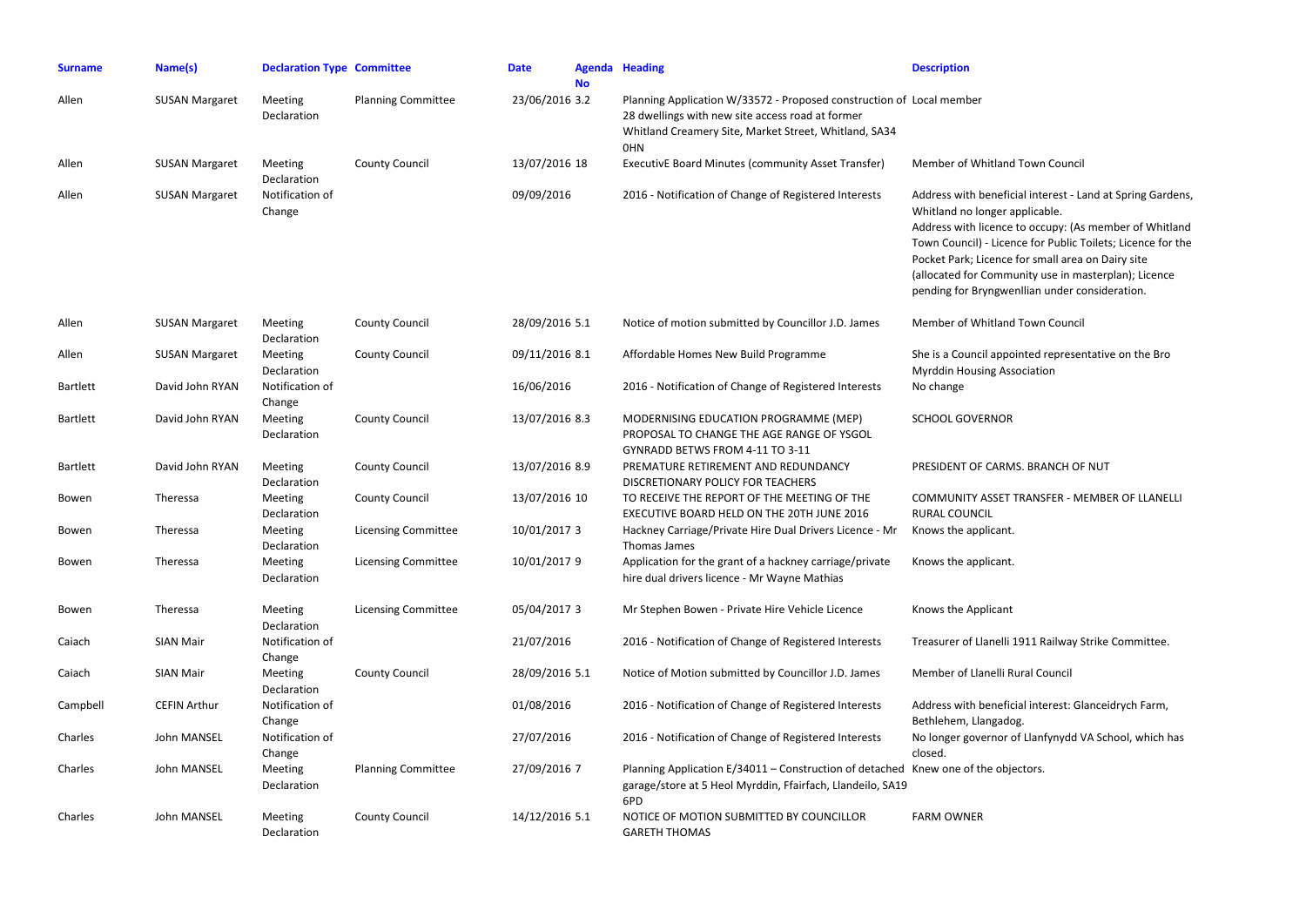| <b>Surname</b>  | Name(s)               | <b>Declaration Type Committee</b> |                            | <b>Date</b>    | <b>No</b> | <b>Agenda Heading</b>                                                                                                                                                                           | <b>Description</b>                                                                                                                                                 |
|-----------------|-----------------------|-----------------------------------|----------------------------|----------------|-----------|-------------------------------------------------------------------------------------------------------------------------------------------------------------------------------------------------|--------------------------------------------------------------------------------------------------------------------------------------------------------------------|
| Allen           | <b>SUSAN Margaret</b> | Meeting<br>Declaration            | <b>Planning Committee</b>  | 23/06/2016 3.2 |           | Planning Application W/33572 - Proposed construction of Local member<br>28 dwellings with new site access road at former<br>Whitland Creamery Site, Market Street, Whitland, SA34<br><b>OHN</b> |                                                                                                                                                                    |
| Allen           | <b>SUSAN Margaret</b> | Meeting<br>Declaration            | <b>County Council</b>      | 13/07/2016 18  |           | <b>ExecutivE Board Minutes (community Asset Transfer)</b>                                                                                                                                       | <b>Member of Whitland</b>                                                                                                                                          |
| Allen           | <b>SUSAN Margaret</b> | Notification of<br>Change         |                            | 09/09/2016     |           | 2016 - Notification of Change of Registered Interests                                                                                                                                           | Address with benefic<br>Whitland no longer a<br>Address with licence<br>Town Council) - Lice<br>Pocket Park; Licence<br>(allocated for Comm<br>pending for Bryngwe |
| Allen           | <b>SUSAN Margaret</b> | Meeting<br>Declaration            | <b>County Council</b>      | 28/09/2016 5.1 |           | Notice of motion submitted by Councillor J.D. James                                                                                                                                             | Member of Whitland                                                                                                                                                 |
| Allen           | <b>SUSAN Margaret</b> | Meeting<br>Declaration            | <b>County Council</b>      | 09/11/2016 8.1 |           | Affordable Homes New Build Programme                                                                                                                                                            | She is a Council appo<br><b>Myrddin Housing As:</b>                                                                                                                |
| <b>Bartlett</b> | David John RYAN       | Notification of<br>Change         |                            | 16/06/2016     |           | 2016 - Notification of Change of Registered Interests                                                                                                                                           | No change                                                                                                                                                          |
| <b>Bartlett</b> | David John RYAN       | Meeting<br>Declaration            | <b>County Council</b>      | 13/07/2016 8.3 |           | MODERNISING EDUCATION PROGRAMME (MEP)<br>PROPOSAL TO CHANGE THE AGE RANGE OF YSGOL<br>GYNRADD BETWS FROM 4-11 TO 3-11                                                                           | <b>SCHOOL GOVERNOR</b>                                                                                                                                             |
| <b>Bartlett</b> | David John RYAN       | Meeting<br>Declaration            | <b>County Council</b>      | 13/07/2016 8.9 |           | PREMATURE RETIREMENT AND REDUNDANCY<br>DISCRETIONARY POLICY FOR TEACHERS                                                                                                                        | PRESIDENT OF CARN                                                                                                                                                  |
| Bowen           | Theressa              | Meeting<br>Declaration            | <b>County Council</b>      | 13/07/2016 10  |           | TO RECEIVE THE REPORT OF THE MEETING OF THE<br>EXECUTIVE BOARD HELD ON THE 20TH JUNE 2016                                                                                                       | <b>COMMUNITY ASSET</b><br><b>RURAL COUNCIL</b>                                                                                                                     |
| Bowen           | Theressa              | <b>Meeting</b><br>Declaration     | <b>Licensing Committee</b> | 10/01/2017 3   |           | Hackney Carriage/Private Hire Dual Drivers Licence - Mr<br>Thomas James                                                                                                                         | Knows the applicant                                                                                                                                                |
| Bowen           | Theressa              | <b>Meeting</b><br>Declaration     | <b>Licensing Committee</b> | 10/01/2017 9   |           | Application for the grant of a hackney carriage/private<br>hire dual drivers licence - Mr Wayne Mathias                                                                                         | Knows the applicant                                                                                                                                                |
| Bowen           | Theressa              | <b>Meeting</b><br>Declaration     | <b>Licensing Committee</b> | 05/04/2017 3   |           | Mr Stephen Bowen - Private Hire Vehicle Licence                                                                                                                                                 | Knows the Applicant                                                                                                                                                |
| Caiach          | SIAN Mair             | Notification of<br>Change         |                            | 21/07/2016     |           | 2016 - Notification of Change of Registered Interests                                                                                                                                           | <b>Treasurer of Llanelli</b>                                                                                                                                       |
| Caiach          | <b>SIAN Mair</b>      | Meeting<br>Declaration            | <b>County Council</b>      | 28/09/2016 5.1 |           | Notice of Motion submitted by Councillor J.D. James                                                                                                                                             | Member of Llanelli F                                                                                                                                               |
| Campbell        | <b>CEFIN Arthur</b>   | Notification of<br>Change         |                            | 01/08/2016     |           | 2016 - Notification of Change of Registered Interests                                                                                                                                           | Address with benefic<br>Bethlehem, Llangadd                                                                                                                        |
| Charles         | John MANSEL           | Notification of<br>Change         |                            | 27/07/2016     |           | 2016 - Notification of Change of Registered Interests                                                                                                                                           | No longer governor<br>closed.                                                                                                                                      |
| Charles         | John MANSEL           | Meeting<br>Declaration            | <b>Planning Committee</b>  | 27/09/2016 7   |           | Planning Application E/34011 - Construction of detached Knew one of the obj<br>garage/store at 5 Heol Myrddin, Ffairfach, Llandeilo, SA19<br>6PD                                                |                                                                                                                                                                    |
| Charles         | John MANSEL           | Meeting<br>Declaration            | <b>County Council</b>      | 14/12/2016 5.1 |           | NOTICE OF MOTION SUBMITTED BY COUNCILLOR<br><b>GARETH THOMAS</b>                                                                                                                                | <b>FARM OWNER</b>                                                                                                                                                  |

### hitland Town Council

oeneficial interest - Land at Spring Gardens, onger applicable.

licence to occupy: (As member of Whitland - Licence for Public Toilets; Licence for the icence for small area on Dairy site Community use in masterplan); Licence yngwenllian under consideration.

hitland Town Council

il appointed representative on the Bro ing Association

ERNOR

#### CARMS. BRANCH OF NUT

ASSET TRANSFER - MEMBER OF LLANELLI  $\mathsf{SIL}$  . blicant.

blicant.

lanelli 1911 Railway Strike Committee.

anelli Rural Council

beneficial interest: Glanceidrych Farm, angadog. ernor of Llanfynydd VA School, which has

he objectors.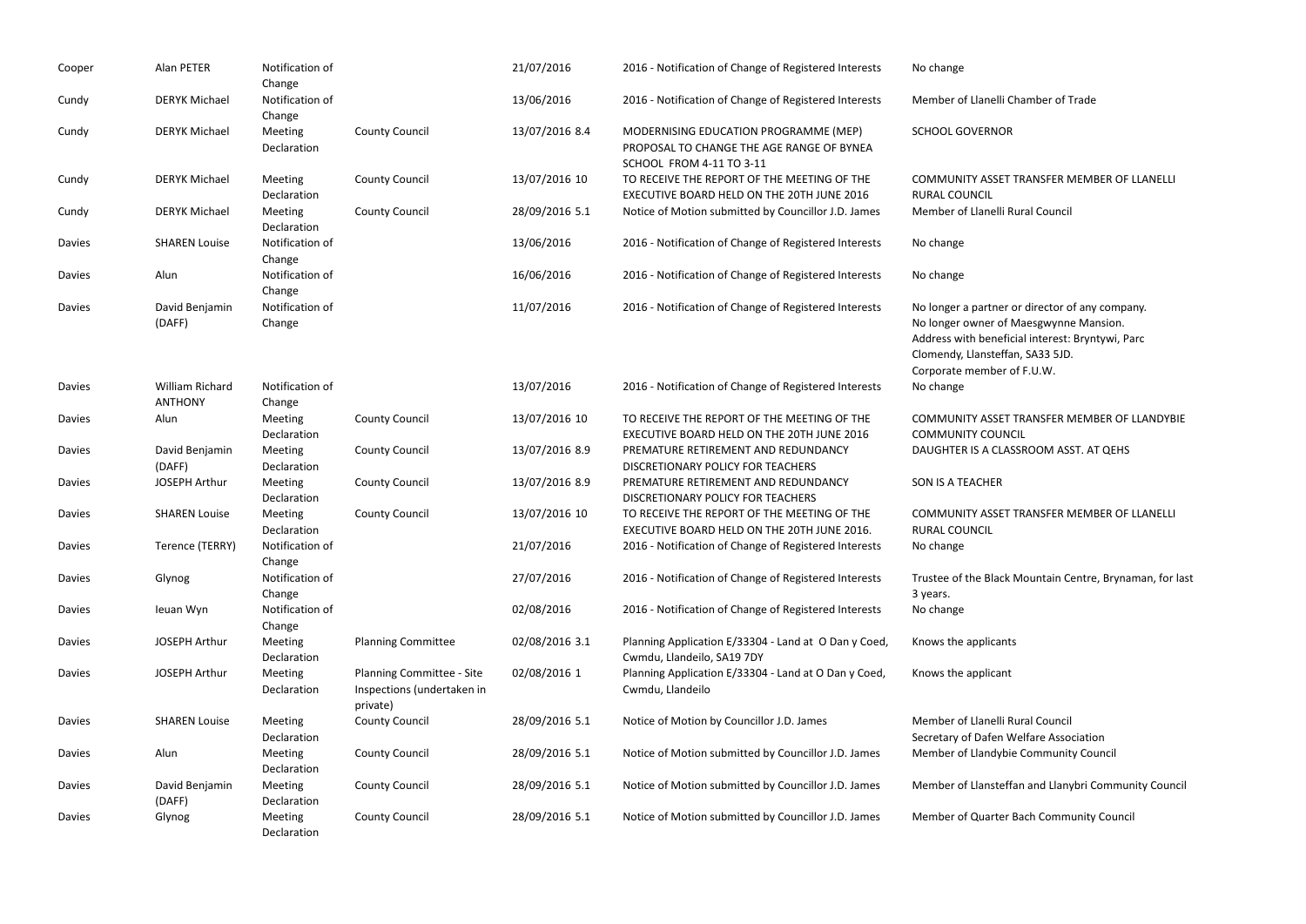| Cooper        | Alan PETER                        | Notification of<br>Change |                                                                     | 21/07/2016     | 2016 - Notification of Change of Registered Interests                                                          | No change                                                                             |
|---------------|-----------------------------------|---------------------------|---------------------------------------------------------------------|----------------|----------------------------------------------------------------------------------------------------------------|---------------------------------------------------------------------------------------|
| Cundy         | <b>DERYK Michael</b>              | Notification of<br>Change |                                                                     | 13/06/2016     | 2016 - Notification of Change of Registered Interests                                                          | Member of Llar                                                                        |
| Cundy         | <b>DERYK Michael</b>              | Meeting<br>Declaration    | <b>County Council</b>                                               | 13/07/2016 8.4 | MODERNISING EDUCATION PROGRAMME (MEP)<br>PROPOSAL TO CHANGE THE AGE RANGE OF BYNEA<br>SCHOOL FROM 4-11 TO 3-11 | <b>SCHOOL GOVEI</b>                                                                   |
| Cundy         | <b>DERYK Michael</b>              | Meeting<br>Declaration    | <b>County Council</b>                                               | 13/07/2016 10  | TO RECEIVE THE REPORT OF THE MEETING OF THE<br>EXECUTIVE BOARD HELD ON THE 20TH JUNE 2016                      | <b>COMMUNITY A</b><br><b>RURAL COUNCI</b>                                             |
| Cundy         | <b>DERYK Michael</b>              | Meeting<br>Declaration    | <b>County Council</b>                                               | 28/09/2016 5.1 | Notice of Motion submitted by Councillor J.D. James                                                            | Member of Llar                                                                        |
| Davies        | <b>SHAREN Louise</b>              | Notification of<br>Change |                                                                     | 13/06/2016     | 2016 - Notification of Change of Registered Interests                                                          | No change                                                                             |
| Davies        | Alun                              | Notification of<br>Change |                                                                     | 16/06/2016     | 2016 - Notification of Change of Registered Interests                                                          | No change                                                                             |
| Davies        | David Benjamin<br>(DAFF)          | Notification of<br>Change |                                                                     | 11/07/2016     | 2016 - Notification of Change of Registered Interests                                                          | No longer a par<br>No longer own<br>Address with b<br>Clomendy, Llan<br>Corporate men |
| Davies        | William Richard<br><b>ANTHONY</b> | Notification of<br>Change |                                                                     | 13/07/2016     | 2016 - Notification of Change of Registered Interests                                                          | No change                                                                             |
| Davies        | Alun                              | Meeting<br>Declaration    | <b>County Council</b>                                               | 13/07/2016 10  | TO RECEIVE THE REPORT OF THE MEETING OF THE<br>EXECUTIVE BOARD HELD ON THE 20TH JUNE 2016                      | <b>COMMUNITY A</b><br><b>COMMUNITY C</b>                                              |
| <b>Davies</b> | David Benjamin<br>(DAFF)          | Meeting<br>Declaration    | <b>County Council</b>                                               | 13/07/2016 8.9 | PREMATURE RETIREMENT AND REDUNDANCY<br>DISCRETIONARY POLICY FOR TEACHERS                                       | <b>DAUGHTER IS A</b>                                                                  |
| Davies        | <b>JOSEPH Arthur</b>              | Meeting<br>Declaration    | <b>County Council</b>                                               | 13/07/2016 8.9 | PREMATURE RETIREMENT AND REDUNDANCY<br>DISCRETIONARY POLICY FOR TEACHERS                                       | SON IS A TEACH                                                                        |
| Davies        | <b>SHAREN Louise</b>              | Meeting<br>Declaration    | <b>County Council</b>                                               | 13/07/2016 10  | TO RECEIVE THE REPORT OF THE MEETING OF THE<br>EXECUTIVE BOARD HELD ON THE 20TH JUNE 2016.                     | <b>COMMUNITY A</b><br><b>RURAL COUNCI</b>                                             |
| Davies        | Terence (TERRY)                   | Notification of<br>Change |                                                                     | 21/07/2016     | 2016 - Notification of Change of Registered Interests                                                          | No change                                                                             |
| <b>Davies</b> | Glynog                            | Notification of<br>Change |                                                                     | 27/07/2016     | 2016 - Notification of Change of Registered Interests                                                          | Trustee of the I<br>3 years.                                                          |
| Davies        | Ieuan Wyn                         | Notification of<br>Change |                                                                     | 02/08/2016     | 2016 - Notification of Change of Registered Interests                                                          | No change                                                                             |
| <b>Davies</b> | <b>JOSEPH Arthur</b>              | Meeting<br>Declaration    | <b>Planning Committee</b>                                           | 02/08/2016 3.1 | Planning Application E/33304 - Land at O Dan y Coed,<br>Cwmdu, Llandeilo, SA19 7DY                             | Knows the appl                                                                        |
| <b>Davies</b> | <b>JOSEPH Arthur</b>              | Meeting<br>Declaration    | Planning Committee - Site<br>Inspections (undertaken in<br>private) | 02/08/2016 1   | Planning Application E/33304 - Land at O Dan y Coed,<br>Cwmdu, Llandeilo                                       | Knows the app                                                                         |
| Davies        | <b>SHAREN Louise</b>              | Meeting<br>Declaration    | <b>County Council</b>                                               | 28/09/2016 5.1 | Notice of Motion by Councillor J.D. James                                                                      | Member of Llar<br>Secretary of Da                                                     |
| <b>Davies</b> | Alun                              | Meeting<br>Declaration    | <b>County Council</b>                                               | 28/09/2016 5.1 | Notice of Motion submitted by Councillor J.D. James                                                            | Member of Llar                                                                        |
| <b>Davies</b> | David Benjamin<br>(DAFF)          | Meeting<br>Declaration    | <b>County Council</b>                                               | 28/09/2016 5.1 | Notice of Motion submitted by Councillor J.D. James                                                            | Member of Llar                                                                        |
| <b>Davies</b> | Glynog                            | Meeting<br>Declaration    | <b>County Council</b>                                               | 28/09/2016 5.1 | Notice of Motion submitted by Councillor J.D. James                                                            | Member of Qu                                                                          |

anelli Chamber of Trade

ERNOR

ASSET TRANSFER MEMBER OF LLANELLI  $21L$ anelli Rural Council

Inther or director of any company. ner of Maesgwynne Mansion. beneficial interest: Bryntywi, Parc nsteffan, SA33 5JD. mber of F.U.W.

ASSET TRANSFER MEMBER OF LLANDYBIE COUNCIL A CLASSROOM ASST. AT QEHS

 $HER$ 

ASSET TRANSFER MEMBER OF LLANELLI  $21L$ 

Black Mountain Centre, Brynaman, for last

licants

licant

anelli Rural Council afen Welfare Association ndybie Community Council

ansteffan and Llanybri Community Council

uarter Bach Community Council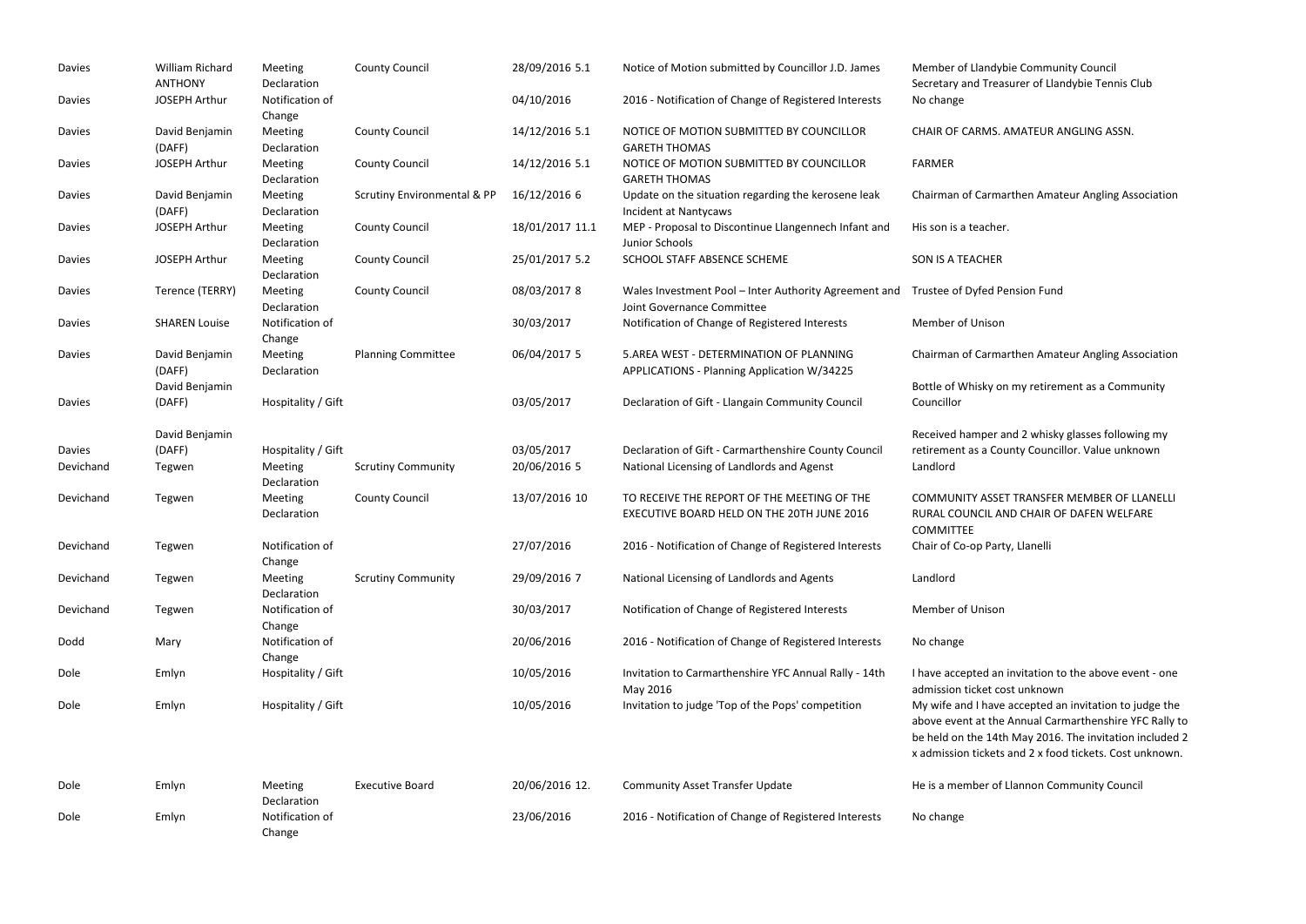| <b>Davies</b>              | William Richard<br><b>ANTHONY</b> | Meeting<br>Declaration                              | <b>County Council</b>                  | 28/09/2016 5.1             | Notice of Motion submitted by Councillor J.D. James                                                | Member of Llandyl<br>Secretary and Trea                                               |
|----------------------------|-----------------------------------|-----------------------------------------------------|----------------------------------------|----------------------------|----------------------------------------------------------------------------------------------------|---------------------------------------------------------------------------------------|
| Davies                     | <b>JOSEPH Arthur</b>              | Notification of<br>Change                           |                                        | 04/10/2016                 | 2016 - Notification of Change of Registered Interests                                              | No change                                                                             |
| Davies                     | David Benjamin<br>(DAFF)          | Meeting<br>Declaration                              | <b>County Council</b>                  | 14/12/2016 5.1             | NOTICE OF MOTION SUBMITTED BY COUNCILLOR<br><b>GARETH THOMAS</b>                                   | <b>CHAIR OF CARMS.</b>                                                                |
| Davies                     | <b>JOSEPH Arthur</b>              | Meeting<br>Declaration                              | <b>County Council</b>                  | 14/12/2016 5.1             | NOTICE OF MOTION SUBMITTED BY COUNCILLOR<br><b>GARETH THOMAS</b>                                   | <b>FARMER</b>                                                                         |
| <b>Davies</b>              | David Benjamin<br>(DAFF)          | Meeting<br>Declaration                              | <b>Scrutiny Environmental &amp; PP</b> | 16/12/2016 6               | Update on the situation regarding the kerosene leak<br>Incident at Nantycaws                       | Chairman of Carma                                                                     |
| <b>Davies</b>              | <b>JOSEPH Arthur</b>              | Meeting<br>Declaration                              | <b>County Council</b>                  | 18/01/2017 11.1            | MEP - Proposal to Discontinue Llangennech Infant and<br>Junior Schools                             | His son is a teacher                                                                  |
| Davies                     | JOSEPH Arthur                     | Meeting<br>Declaration                              | <b>County Council</b>                  | 25/01/2017 5.2             | SCHOOL STAFF ABSENCE SCHEME                                                                        | SON IS A TEACHER                                                                      |
| <b>Davies</b>              | Terence (TERRY)                   | Meeting<br>Declaration                              | <b>County Council</b>                  | 08/03/2017 8               | Wales Investment Pool - Inter Authority Agreement and<br>Joint Governance Committee                | Trustee of Dyfed P                                                                    |
| Davies                     | <b>SHAREN Louise</b>              | Notification of<br>Change                           |                                        | 30/03/2017                 | Notification of Change of Registered Interests                                                     | Member of Unison                                                                      |
| Davies                     | David Benjamin<br>(DAFF)          | Meeting<br>Declaration                              | <b>Planning Committee</b>              | 06/04/2017 5               | 5.AREA WEST - DETERMINATION OF PLANNING<br>APPLICATIONS - Planning Application W/34225             | Chairman of Carma                                                                     |
| Davies                     | David Benjamin<br>(DAFF)          | Hospitality / Gift                                  |                                        | 03/05/2017                 | Declaration of Gift - Llangain Community Council                                                   | Bottle of Whisky or<br>Councillor                                                     |
|                            | David Benjamin                    |                                                     |                                        |                            |                                                                                                    | Received hamper a                                                                     |
| <b>Davies</b><br>Devichand | (DAFF)<br>Tegwen                  | Hospitality / Gift<br><b>Meeting</b><br>Declaration | <b>Scrutiny Community</b>              | 03/05/2017<br>20/06/2016 5 | Declaration of Gift - Carmarthenshire County Council<br>National Licensing of Landlords and Agenst | retirement as a Co<br>Landlord                                                        |
| Devichand                  | Tegwen                            | Meeting<br>Declaration                              | <b>County Council</b>                  | 13/07/2016 10              | TO RECEIVE THE REPORT OF THE MEETING OF THE<br>EXECUTIVE BOARD HELD ON THE 20TH JUNE 2016          | <b>COMMUNITY ASSE</b><br>RURAL COUNCIL AI<br><b>COMMITTEE</b>                         |
| Devichand                  | Tegwen                            | Notification of<br>Change                           |                                        | 27/07/2016                 | 2016 - Notification of Change of Registered Interests                                              | Chair of Co-op Part                                                                   |
| Devichand                  | Tegwen                            | Meeting<br>Declaration                              | <b>Scrutiny Community</b>              | 29/09/2016 7               | National Licensing of Landlords and Agents                                                         | Landlord                                                                              |
| Devichand                  | Tegwen                            | Notification of<br>Change                           |                                        | 30/03/2017                 | Notification of Change of Registered Interests                                                     | Member of Unison                                                                      |
| Dodd                       | Mary                              | Notification of<br>Change                           |                                        | 20/06/2016                 | 2016 - Notification of Change of Registered Interests                                              | No change                                                                             |
| Dole                       | Emlyn                             | Hospitality / Gift                                  |                                        | 10/05/2016                 | Invitation to Carmarthenshire YFC Annual Rally - 14th<br>May 2016                                  | I have accepted an<br>admission ticket co                                             |
| Dole                       | Emlyn                             | Hospitality / Gift                                  |                                        | 10/05/2016                 | Invitation to judge 'Top of the Pops' competition                                                  | My wife and I have<br>above event at the<br>be held on the 14t<br>x admission tickets |
| Dole                       | Emlyn                             | Meeting<br>Declaration                              | <b>Executive Board</b>                 | 20/06/2016 12.             | <b>Community Asset Transfer Update</b>                                                             | He is a member of                                                                     |
| Dole                       | Emlyn                             | Notification of<br>Change                           |                                        | 23/06/2016                 | 2016 - Notification of Change of Registered Interests                                              | No change                                                                             |

# andybie Community Council Treasurer of Llandybie Tennis Club

# MS. AMATEUR ANGLING ASSN.

armarthen Amateur Angling Association

acher.

ed Pension Fund

armarthen Amateur Angling Association

ky on my retirement as a Community

per and 2 whisky glasses following my a County Councillor. Value unknown

ASSET TRANSFER MEMBER OF LLANELLI CIL AND CHAIR OF DAFEN WELFARE

Party, Llanelli

d an invitation to the above event - one et cost unknown

have accepted an invitation to judge the t the Annual Carmarthenshire YFC Rally to 14th May 2016. The invitation included 2 ckets and 2 x food tickets. Cost unknown.

er of Llannon Community Council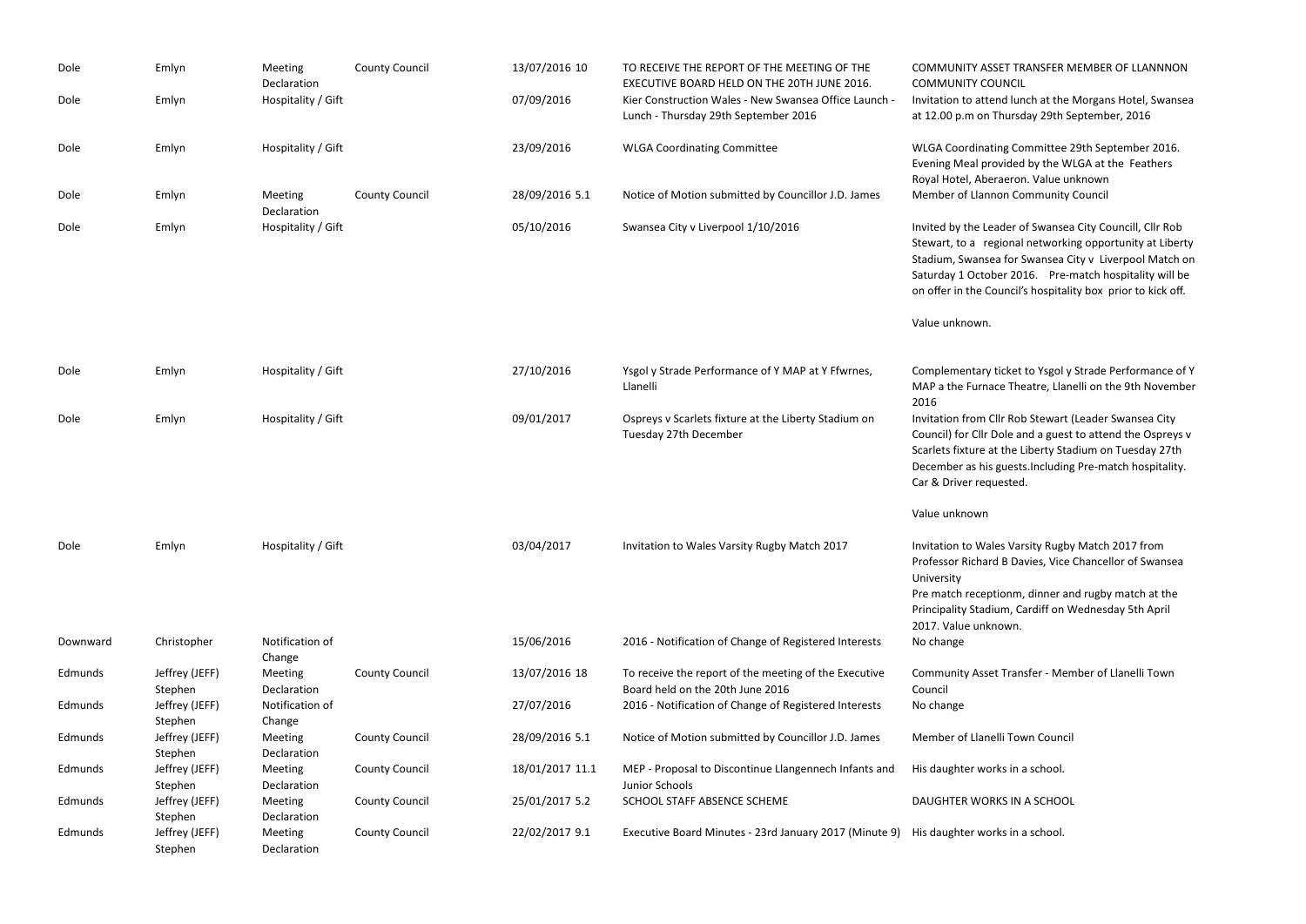| Dole     | Emlyn                     | Meeting<br>Declaration        | <b>County Council</b> | 13/07/2016 10   | TO RECEIVE THE REPORT OF THE MEETING OF THE<br>EXECUTIVE BOARD HELD ON THE 20TH JUNE 2016.    | <b>COMMUNITY ASSET TRANSFER</b><br><b>COMMUNITY COUNCIL</b>                                                                                                                  |
|----------|---------------------------|-------------------------------|-----------------------|-----------------|-----------------------------------------------------------------------------------------------|------------------------------------------------------------------------------------------------------------------------------------------------------------------------------|
| Dole     | Emlyn                     | Hospitality / Gift            |                       | 07/09/2016      | Kier Construction Wales - New Swansea Office Launch -<br>Lunch - Thursday 29th September 2016 | Invitation to attend lunch at th<br>at 12.00 p.m on Thursday 29th                                                                                                            |
| Dole     | Emlyn                     | Hospitality / Gift            |                       | 23/09/2016      | <b>WLGA Coordinating Committee</b>                                                            | <b>WLGA Coordinating Committed</b><br>Evening Meal provided by the '<br>Royal Hotel, Aberaeron. Value                                                                        |
| Dole     | Emlyn                     | Meeting<br>Declaration        | <b>County Council</b> | 28/09/2016 5.1  | Notice of Motion submitted by Councillor J.D. James                                           | Member of Llannon Communit                                                                                                                                                   |
| Dole     | Emlyn                     | Hospitality / Gift            |                       | 05/10/2016      | Swansea City v Liverpool 1/10/2016                                                            | Invited by the Leader of Swans<br>Stewart, to a regional networl<br>Stadium, Swansea for Swansea<br>Saturday 1 October 2016. Pre<br>on offer in the Council's hospita        |
|          |                           |                               |                       |                 |                                                                                               | Value unknown.                                                                                                                                                               |
| Dole     | Emlyn                     | Hospitality / Gift            |                       | 27/10/2016      | Ysgol y Strade Performance of Y MAP at Y Ffwrnes,<br>Llanelli                                 | Complementary ticket to Ysgol<br>MAP a the Furnace Theatre, Lla<br>2016                                                                                                      |
| Dole     | Emlyn                     | Hospitality / Gift            |                       | 09/01/2017      | Ospreys v Scarlets fixture at the Liberty Stadium on<br>Tuesday 27th December                 | Invitation from Cllr Rob Stewar<br>Council) for Cllr Dole and a gue<br>Scarlets fixture at the Liberty St<br>December as his guests. Includi<br>Car & Driver requested.      |
|          |                           |                               |                       |                 |                                                                                               | Value unknown                                                                                                                                                                |
| Dole     | Emlyn                     | Hospitality / Gift            |                       | 03/04/2017      | Invitation to Wales Varsity Rugby Match 2017                                                  | Invitation to Wales Varsity Rug<br>Professor Richard B Davies, Vic<br>University<br>Pre match receptionm, dinner<br>Principality Stadium, Cardiff on<br>2017. Value unknown. |
| Downward | Christopher               | Notification of<br>Change     |                       | 15/06/2016      | 2016 - Notification of Change of Registered Interests                                         | No change                                                                                                                                                                    |
| Edmunds  | Jeffrey (JEFF)<br>Stephen | Meeting<br>Declaration        | <b>County Council</b> | 13/07/2016 18   | To receive the report of the meeting of the Executive<br>Board held on the 20th June 2016     | Community Asset Transfer - Mo<br>Council                                                                                                                                     |
| Edmunds  | Jeffrey (JEFF)<br>Stephen | Notification of<br>Change     |                       | 27/07/2016      | 2016 - Notification of Change of Registered Interests                                         | No change                                                                                                                                                                    |
| Edmunds  | Jeffrey (JEFF)<br>Stephen | Meeting<br>Declaration        | <b>County Council</b> | 28/09/2016 5.1  | Notice of Motion submitted by Councillor J.D. James                                           | Member of Llanelli Town Coun                                                                                                                                                 |
| Edmunds  | Jeffrey (JEFF)<br>Stephen | <b>Meeting</b><br>Declaration | <b>County Council</b> | 18/01/2017 11.1 | MEP - Proposal to Discontinue Llangennech Infants and<br>Junior Schools                       | His daughter works in a school.                                                                                                                                              |
| Edmunds  | Jeffrey (JEFF)<br>Stephen | <b>Meeting</b><br>Declaration | <b>County Council</b> | 25/01/2017 5.2  | SCHOOL STAFF ABSENCE SCHEME                                                                   | DAUGHTER WORKS IN A SCHO                                                                                                                                                     |
| Edmunds  | Jeffrey (JEFF)<br>Stephen | <b>Meeting</b><br>Declaration | <b>County Council</b> | 22/02/2017 9.1  | Executive Board Minutes - 23rd January 2017 (Minute 9)                                        | His daughter works in a school.                                                                                                                                              |

ASSET TRANSFER MEMBER OF LLANNNON COUNCIL Itend lunch at the Morgans Hotel, Swansea n Thursday 29th September, 2016

ating Committee 29th September 2016. provided by the WLGA at the Feathers oeraeron. Value unknown nnon Community Council

Leader of Swansea City Councill, Cllr Rob regional networking opportunity at Liberty Isea for Swansea City v Liverpool Match on tober 2016. Pre-match hospitality will be Council's hospitality box prior to kick off.

ry ticket to Ysgol y Strade Performance of Y nace Theatre, Llanelli on the 9th November

Cllr Rob Stewart (Leader Swansea City r Dole and a guest to attend the Ospreys v at the Liberty Stadium on Tuesday 27th iis guests.Including Pre-match hospitality. equested.

Vales Varsity Rugby Match 2017 from ard B Davies, Vice Chancellor of Swansea

eptionm, dinner and rugby match at the adium, Cardiff on Wednesday 5th April iknown.

set Transfer - Member of Llanelli Town

nelli Town Council

ORKS IN A SCHOOL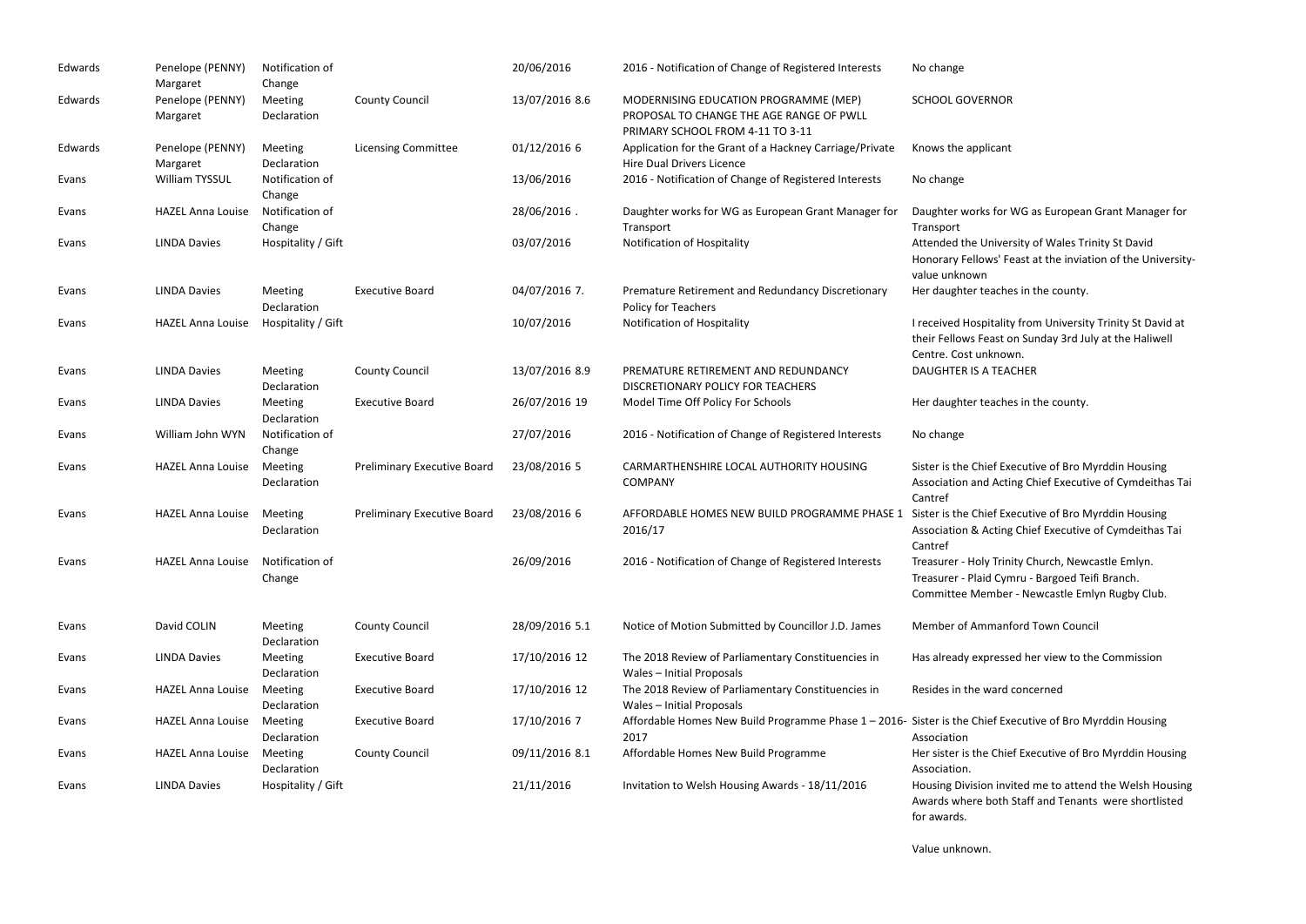| Edwards | Penelope (PENNY)<br>Margaret | Notification of<br>Change |                                    | 20/06/2016     | 2016 - Notification of Change of Registered Interests                                                                 | No change                                              |
|---------|------------------------------|---------------------------|------------------------------------|----------------|-----------------------------------------------------------------------------------------------------------------------|--------------------------------------------------------|
| Edwards | Penelope (PENNY)<br>Margaret | Meeting<br>Declaration    | <b>County Council</b>              | 13/07/2016 8.6 | MODERNISING EDUCATION PROGRAMME (MEP)<br>PROPOSAL TO CHANGE THE AGE RANGE OF PWLL<br>PRIMARY SCHOOL FROM 4-11 TO 3-11 | <b>SCHOOL GOVEI</b>                                    |
| Edwards | Penelope (PENNY)<br>Margaret | Meeting<br>Declaration    | <b>Licensing Committee</b>         | 01/12/2016 6   | Application for the Grant of a Hackney Carriage/Private<br><b>Hire Dual Drivers Licence</b>                           | Knows the appl                                         |
| Evans   | William TYSSUL               | Notification of<br>Change |                                    | 13/06/2016     | 2016 - Notification of Change of Registered Interests                                                                 | No change                                              |
| Evans   | <b>HAZEL Anna Louise</b>     | Notification of<br>Change |                                    | 28/06/2016.    | Daughter works for WG as European Grant Manager for<br>Transport                                                      | Daughter work<br>Transport                             |
| Evans   | <b>LINDA Davies</b>          | Hospitality / Gift        |                                    | 03/07/2016     | Notification of Hospitality                                                                                           | Attended the U<br>Honorary Fello<br>value unknown      |
| Evans   | <b>LINDA Davies</b>          | Meeting<br>Declaration    | <b>Executive Board</b>             | 04/07/2016 7.  | Premature Retirement and Redundancy Discretionary<br>Policy for Teachers                                              | Her daughter to                                        |
| Evans   | <b>HAZEL Anna Louise</b>     | Hospitality / Gift        |                                    | 10/07/2016     | Notification of Hospitality                                                                                           | I received Hosp<br>their Fellows Fe<br>Centre. Cost ur |
| Evans   | <b>LINDA Davies</b>          | Meeting<br>Declaration    | <b>County Council</b>              | 13/07/2016 8.9 | PREMATURE RETIREMENT AND REDUNDANCY<br>DISCRETIONARY POLICY FOR TEACHERS                                              | <b>DAUGHTER IS A</b>                                   |
| Evans   | <b>LINDA Davies</b>          | Meeting<br>Declaration    | <b>Executive Board</b>             | 26/07/2016 19  | Model Time Off Policy For Schools                                                                                     | Her daughter to                                        |
| Evans   | William John WYN             | Notification of<br>Change |                                    | 27/07/2016     | 2016 - Notification of Change of Registered Interests                                                                 | No change                                              |
| Evans   | <b>HAZEL Anna Louise</b>     | Meeting<br>Declaration    | Preliminary Executive Board        | 23/08/2016 5   | CARMARTHENSHIRE LOCAL AUTHORITY HOUSING<br><b>COMPANY</b>                                                             | Sister is the Chi<br>Association and<br>Cantref        |
| Evans   | <b>HAZEL Anna Louise</b>     | Meeting<br>Declaration    | <b>Preliminary Executive Board</b> | 23/08/2016 6   | AFFORDABLE HOMES NEW BUILD PROGRAMME PHASE 1<br>2016/17                                                               | Sister is the Chi<br>Association & A<br>Cantref        |
| Evans   | <b>HAZEL Anna Louise</b>     | Notification of<br>Change |                                    | 26/09/2016     | 2016 - Notification of Change of Registered Interests                                                                 | Treasurer - Holy<br>Treasurer - Plai<br>Committee Me   |
| Evans   | David COLIN                  | Meeting<br>Declaration    | <b>County Council</b>              | 28/09/2016 5.1 | Notice of Motion Submitted by Councillor J.D. James                                                                   | Member of Am                                           |
| Evans   | <b>LINDA Davies</b>          | Meeting<br>Declaration    | <b>Executive Board</b>             | 17/10/2016 12  | The 2018 Review of Parliamentary Constituencies in<br>Wales - Initial Proposals                                       | Has already exp                                        |
| Evans   | <b>HAZEL Anna Louise</b>     | Meeting<br>Declaration    | <b>Executive Board</b>             | 17/10/2016 12  | The 2018 Review of Parliamentary Constituencies in<br>Wales - Initial Proposals                                       | Resides in the v                                       |
| Evans   | <b>HAZEL Anna Louise</b>     | Meeting<br>Declaration    | <b>Executive Board</b>             | 17/10/2016 7   | Affordable Homes New Build Programme Phase 1 - 2016- Sister is the Chi<br>2017                                        | Association                                            |
| Evans   | <b>HAZEL Anna Louise</b>     | Meeting<br>Declaration    | <b>County Council</b>              | 09/11/2016 8.1 | Affordable Homes New Build Programme                                                                                  | Her sister is the<br>Association.                      |
| Evans   | <b>LINDA Davies</b>          | Hospitality / Gift        |                                    | 21/11/2016     | Invitation to Welsh Housing Awards - 18/11/2016                                                                       | <b>Housing Divisio</b><br>Awards where                 |

for awards.

#### ERNOR

blicant

ks for WG as European Grant Manager for

University of Wales Trinity St David bws' Feast at the inviation of the University-

teaches in the county.

pitality from University Trinity St David at east on Sunday 3rd July at the Haliwell nknown. A TEACHER

teaches in the county.

iief Executive of Bro Myrddin Housing d Acting Chief Executive of Cymdeithas Tai

ief Executive of Bro Myrddin Housing Acting Chief Executive of Cymdeithas Tai

ly Trinity Church, Newcastle Emlyn. id Cymru - Bargoed Teifi Branch. ember - Newcastle Emlyn Rugby Club.

nmanford Town Council

s are seed her view to the Commission

ward concerned

Value unknown.

ief Executive of Bro Myrddin Housing

e Chief Executive of Bro Myrddin Housing

on invited me to attend the Welsh Housing both Staff and Tenants were shortlisted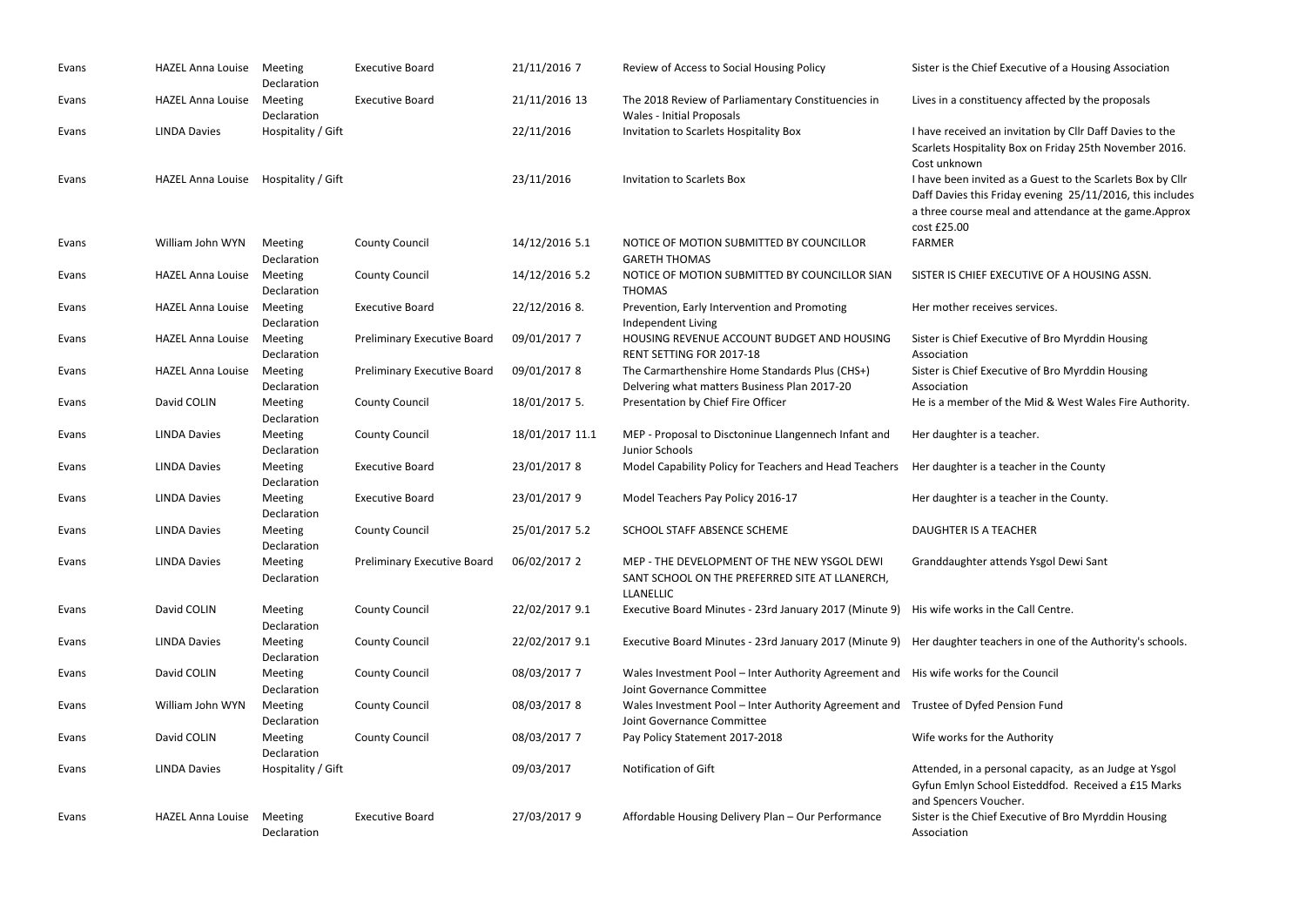| Evans | <b>HAZEL Anna Louise</b> | Meeting<br>Declaration        | <b>Executive Board</b>             | 21/11/2016 7    | Review of Access to Social Housing Policy                                                                         | Sister is the Chief Executive                                                                                 |
|-------|--------------------------|-------------------------------|------------------------------------|-----------------|-------------------------------------------------------------------------------------------------------------------|---------------------------------------------------------------------------------------------------------------|
| Evans | <b>HAZEL Anna Louise</b> | Meeting<br>Declaration        | <b>Executive Board</b>             | 21/11/2016 13   | The 2018 Review of Parliamentary Constituencies in<br><b>Wales - Initial Proposals</b>                            | Lives in a constituency affect                                                                                |
| Evans | <b>LINDA Davies</b>      | Hospitality / Gift            |                                    | 22/11/2016      | Invitation to Scarlets Hospitality Box                                                                            | I have received an invitation<br>Scarlets Hospitality Box on F<br>Cost unknown                                |
| Evans | <b>HAZEL Anna Louise</b> | Hospitality / Gift            |                                    | 23/11/2016      | <b>Invitation to Scarlets Box</b>                                                                                 | I have been invited as a Gues<br>Daff Davies this Friday eveni<br>a three course meal and atte<br>cost £25.00 |
| Evans | William John WYN         | Meeting<br>Declaration        | <b>County Council</b>              | 14/12/2016 5.1  | NOTICE OF MOTION SUBMITTED BY COUNCILLOR<br><b>GARETH THOMAS</b>                                                  | <b>FARMER</b>                                                                                                 |
| Evans | <b>HAZEL Anna Louise</b> | Meeting<br>Declaration        | <b>County Council</b>              | 14/12/2016 5.2  | NOTICE OF MOTION SUBMITTED BY COUNCILLOR SIAN<br><b>THOMAS</b>                                                    | SISTER IS CHIEF EXECUTIVE C                                                                                   |
| Evans | <b>HAZEL Anna Louise</b> | Meeting<br>Declaration        | <b>Executive Board</b>             | 22/12/2016 8.   | Prevention, Early Intervention and Promoting<br>Independent Living                                                | Her mother receives services                                                                                  |
| Evans | <b>HAZEL Anna Louise</b> | Meeting<br>Declaration        | <b>Preliminary Executive Board</b> | 09/01/2017 7    | HOUSING REVENUE ACCOUNT BUDGET AND HOUSING<br>RENT SETTING FOR 2017-18                                            | Sister is Chief Executive of Br<br>Association                                                                |
| Evans | <b>HAZEL Anna Louise</b> | Meeting<br>Declaration        | <b>Preliminary Executive Board</b> | 09/01/2017 8    | The Carmarthenshire Home Standards Plus (CHS+)<br>Delvering what matters Business Plan 2017-20                    | Sister is Chief Executive of Br<br>Association                                                                |
| Evans | David COLIN              | <b>Meeting</b><br>Declaration | <b>County Council</b>              | 18/01/2017 5.   | Presentation by Chief Fire Officer                                                                                | He is a member of the Mid 8                                                                                   |
| Evans | <b>LINDA Davies</b>      | Meeting<br>Declaration        | <b>County Council</b>              | 18/01/2017 11.1 | MEP - Proposal to Disctoninue Llangennech Infant and<br>Junior Schools                                            | Her daughter is a teacher.                                                                                    |
| Evans | <b>LINDA Davies</b>      | Meeting<br>Declaration        | <b>Executive Board</b>             | 23/01/2017 8    | Model Capability Policy for Teachers and Head Teachers                                                            | Her daughter is a teacher in                                                                                  |
| Evans | <b>LINDA Davies</b>      | Meeting<br>Declaration        | <b>Executive Board</b>             | 23/01/2017 9    | Model Teachers Pay Policy 2016-17                                                                                 | Her daughter is a teacher in                                                                                  |
| Evans | <b>LINDA Davies</b>      | Meeting<br><b>Declaration</b> | <b>County Council</b>              | 25/01/2017 5.2  | SCHOOL STAFF ABSENCE SCHEME                                                                                       | <b>DAUGHTER IS A TEACHER</b>                                                                                  |
| Evans | <b>LINDA Davies</b>      | <b>Meeting</b><br>Declaration | <b>Preliminary Executive Board</b> | 06/02/2017 2    | MEP - THE DEVELOPMENT OF THE NEW YSGOL DEWI<br>SANT SCHOOL ON THE PREFERRED SITE AT LLANERCH,<br><b>LLANELLIC</b> | Granddaughter attends Ysgo                                                                                    |
| Evans | David COLIN              | Meeting<br>Declaration        | <b>County Council</b>              | 22/02/2017 9.1  | Executive Board Minutes - 23rd January 2017 (Minute 9)                                                            | His wife works in the Call Cer                                                                                |
| Evans | <b>LINDA Davies</b>      | <b>Meeting</b><br>Declaration | <b>County Council</b>              | 22/02/2017 9.1  | Executive Board Minutes - 23rd January 2017 (Minute 9)                                                            | Her daughter teachers in one                                                                                  |
| Evans | David COLIN              | <b>Meeting</b><br>Declaration | <b>County Council</b>              | 08/03/2017 7    | Wales Investment Pool - Inter Authority Agreement and<br>Joint Governance Committee                               | His wife works for the Cound                                                                                  |
| Evans | William John WYN         | Meeting<br>Declaration        | <b>County Council</b>              | 08/03/2017 8    | Wales Investment Pool - Inter Authority Agreement and Trustee of Dyfed Pension Fur<br>Joint Governance Committee  |                                                                                                               |
| Evans | David COLIN              | <b>Meeting</b><br>Declaration | <b>County Council</b>              | 08/03/2017 7    | Pay Policy Statement 2017-2018                                                                                    | Wife works for the Authority                                                                                  |
| Evans | <b>LINDA Davies</b>      | Hospitality / Gift            |                                    | 09/03/2017      | Notification of Gift                                                                                              | Attended, in a personal capa<br>Gyfun Emlyn School Eisteddf<br>and Spencers Voucher.                          |
| Evans | <b>HAZEL Anna Louise</b> | Meeting<br>Declaration        | <b>Executive Board</b>             | 27/03/2017 9    | Affordable Housing Delivery Plan - Our Performance                                                                | Sister is the Chief Executive<br>Association                                                                  |

ief Executive of a Housing Association

ituency affected by the proposals

an invitation by Cllr Daff Davies to the ality Box on Friday 25th November 2016.

ited as a Guest to the Scarlets Box by Cllr  $s$  Friday evening 25/11/2016, this includes meal and attendance at the game.Approx

- **EXECUTIVE OF A HOUSING ASSN.**
- eives services.
- xecutive of Bro Myrddin Housing
- xecutive of Bro Myrddin Housing
- r of the Mid & West Wales Fire Authority.
- a teacher.
- a teacher in the County
- a teacher in the County.
- 
- attends Ysgol Dewi Sant
- in the Call Centre.
- eachers in one of the Authority's schools.
- for the Council
- ed Pension Fund
- 
- personal capacity, as an Judge at Ysgol chool Eisteddfod. Received a £15 Marks 'oucher.
- ief Executive of Bro Myrddin Housing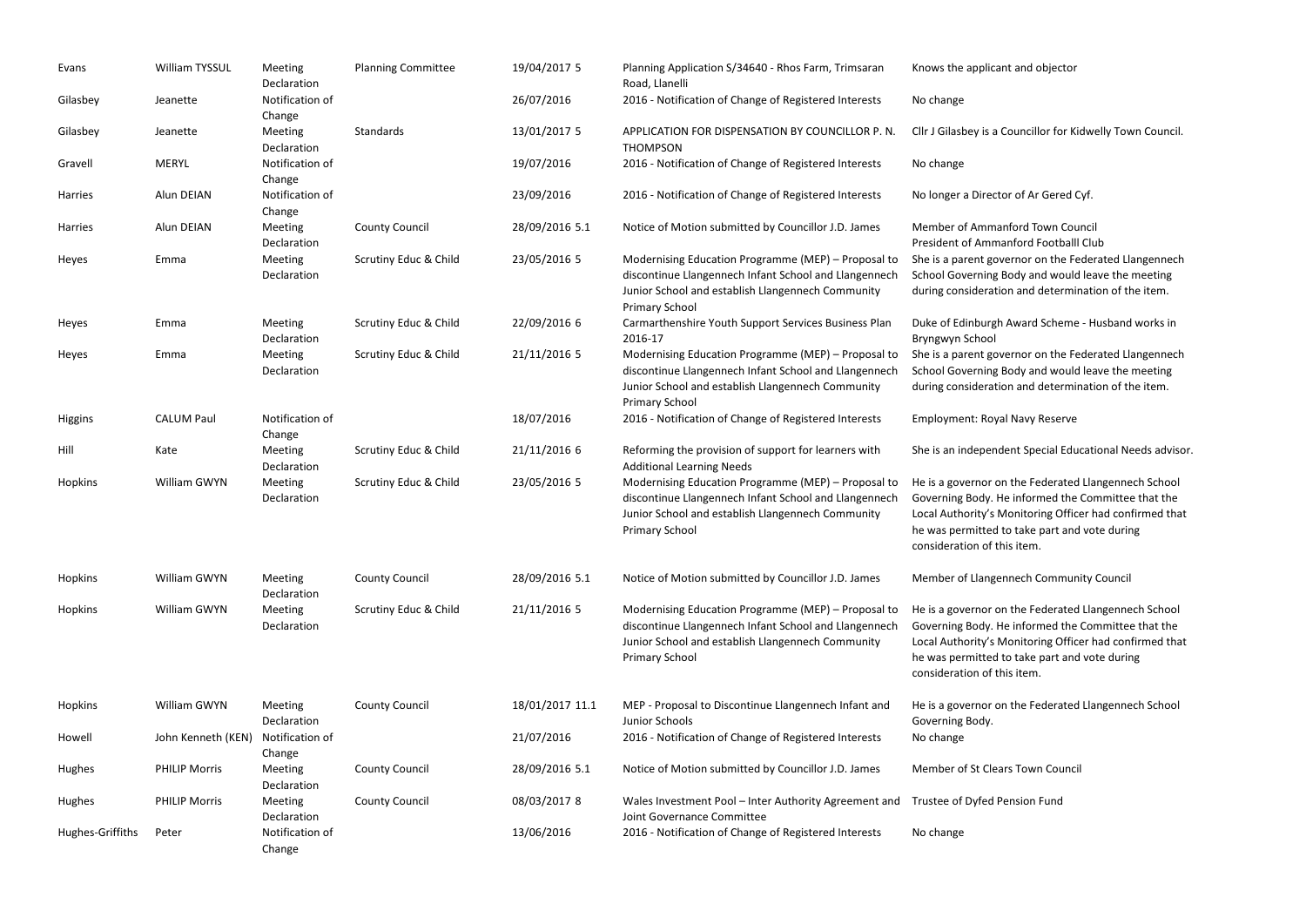| Evans            | William TYSSUL       | Meeting<br>Declaration        | <b>Planning Committee</b> | 19/04/2017 5    | Planning Application S/34640 - Rhos Farm, Trimsaran<br>Road, Llanelli                                                                                                                      | Knows the appl                                                                            |
|------------------|----------------------|-------------------------------|---------------------------|-----------------|--------------------------------------------------------------------------------------------------------------------------------------------------------------------------------------------|-------------------------------------------------------------------------------------------|
| Gilasbey         | Jeanette             | Notification of<br>Change     |                           | 26/07/2016      | 2016 - Notification of Change of Registered Interests                                                                                                                                      | No change                                                                                 |
| Gilasbey         | Jeanette             | Meeting<br>Declaration        | Standards                 | 13/01/2017 5    | APPLICATION FOR DISPENSATION BY COUNCILLOR P. N.<br><b>THOMPSON</b>                                                                                                                        | Cllr J Gilasbey is                                                                        |
| Gravell          | <b>MERYL</b>         | Notification of<br>Change     |                           | 19/07/2016      | 2016 - Notification of Change of Registered Interests                                                                                                                                      | No change                                                                                 |
| Harries          | Alun DEIAN           | Notification of<br>Change     |                           | 23/09/2016      | 2016 - Notification of Change of Registered Interests                                                                                                                                      | No longer a Dir                                                                           |
| Harries          | Alun DEIAN           | Meeting<br>Declaration        | <b>County Council</b>     | 28/09/2016 5.1  | Notice of Motion submitted by Councillor J.D. James                                                                                                                                        | Member of Am<br>President of An                                                           |
| Heyes            | Emma                 | Meeting<br>Declaration        | Scrutiny Educ & Child     | 23/05/2016 5    | Modernising Education Programme (MEP) - Proposal to<br>discontinue Llangennech Infant School and Llangennech<br>Junior School and establish Llangennech Community<br><b>Primary School</b> | She is a parent<br>School Governi<br>during consider                                      |
| Heyes            | Emma                 | Meeting<br>Declaration        | Scrutiny Educ & Child     | 22/09/2016 6    | Carmarthenshire Youth Support Services Business Plan<br>2016-17                                                                                                                            | Duke of Edinbu<br>Bryngwyn Scho                                                           |
| Heyes            | Emma                 | Meeting<br>Declaration        | Scrutiny Educ & Child     | 21/11/2016 5    | Modernising Education Programme (MEP) - Proposal to<br>discontinue Llangennech Infant School and Llangennech<br>Junior School and establish Llangennech Community<br><b>Primary School</b> | She is a parent<br>School Governi<br>during consider                                      |
| <b>Higgins</b>   | <b>CALUM Paul</b>    | Notification of<br>Change     |                           | 18/07/2016      | 2016 - Notification of Change of Registered Interests                                                                                                                                      | Employment: R                                                                             |
| Hill             | Kate                 | Meeting<br>Declaration        | Scrutiny Educ & Child     | 21/11/2016 6    | Reforming the provision of support for learners with<br><b>Additional Learning Needs</b>                                                                                                   | She is an indep                                                                           |
| Hopkins          | William GWYN         | Meeting<br>Declaration        | Scrutiny Educ & Child     | 23/05/2016 5    | Modernising Education Programme (MEP) - Proposal to<br>discontinue Llangennech Infant School and Llangennech<br>Junior School and establish Llangennech Community<br><b>Primary School</b> | He is a governo<br>Governing Body<br>Local Authority<br>he was permitt<br>consideration o |
| Hopkins          | William GWYN         | Meeting<br>Declaration        | <b>County Council</b>     | 28/09/2016 5.1  | Notice of Motion submitted by Councillor J.D. James                                                                                                                                        | Member of Llar                                                                            |
| Hopkins          | William GWYN         | Meeting<br>Declaration        | Scrutiny Educ & Child     | 21/11/2016 5    | Modernising Education Programme (MEP) - Proposal to<br>discontinue Llangennech Infant School and Llangennech<br>Junior School and establish Llangennech Community<br><b>Primary School</b> | He is a governo<br>Governing Body<br>Local Authority<br>he was permitt<br>consideration o |
| Hopkins          | William GWYN         | Meeting<br>Declaration        | <b>County Council</b>     | 18/01/2017 11.1 | MEP - Proposal to Discontinue Llangennech Infant and<br>Junior Schools                                                                                                                     | He is a governo<br>Governing Body                                                         |
| Howell           | John Kenneth (KEN)   | Notification of<br>Change     |                           | 21/07/2016      | 2016 - Notification of Change of Registered Interests                                                                                                                                      | No change                                                                                 |
| Hughes           | <b>PHILIP Morris</b> | <b>Meeting</b><br>Declaration | <b>County Council</b>     | 28/09/2016 5.1  | Notice of Motion submitted by Councillor J.D. James                                                                                                                                        | Member of St C                                                                            |
| Hughes           | <b>PHILIP Morris</b> | Meeting<br>Declaration        | <b>County Council</b>     | 08/03/2017 8    | Wales Investment Pool - Inter Authority Agreement and<br>Joint Governance Committee                                                                                                        | Trustee of Dyfe                                                                           |
| Hughes-Griffiths | Peter                | Notification of<br>Change     |                           | 13/06/2016      | 2016 - Notification of Change of Registered Interests                                                                                                                                      | No change                                                                                 |

licant and objector

a Councillor for Kidwelly Town Council.

rector of Ar Gered Cyf.

manford Town Council

nmanford Footballl Club

governor on the Federated Llangennech

ing Body and would leave the meeting

ration and determination of the item.

Irgh Award Scheme - Husband works in lod

governor on the Federated Llangennech ing Body and would leave the meeting ration and determination of the item.

Royal Navy Reserve

endent Special Educational Needs advisor.

or on the Federated Llangennech School ly. He informed the Committee that the 's Monitoring Officer had confirmed that ted to take part and vote during of this item.

ngennech Community Council

or on the Federated Llangennech School ly. He informed the Committee that the 's Monitoring Officer had confirmed that ted to take part and vote during of this item.

or on the Federated Llangennech School ly.

Clears Town Council

ed Pension Fund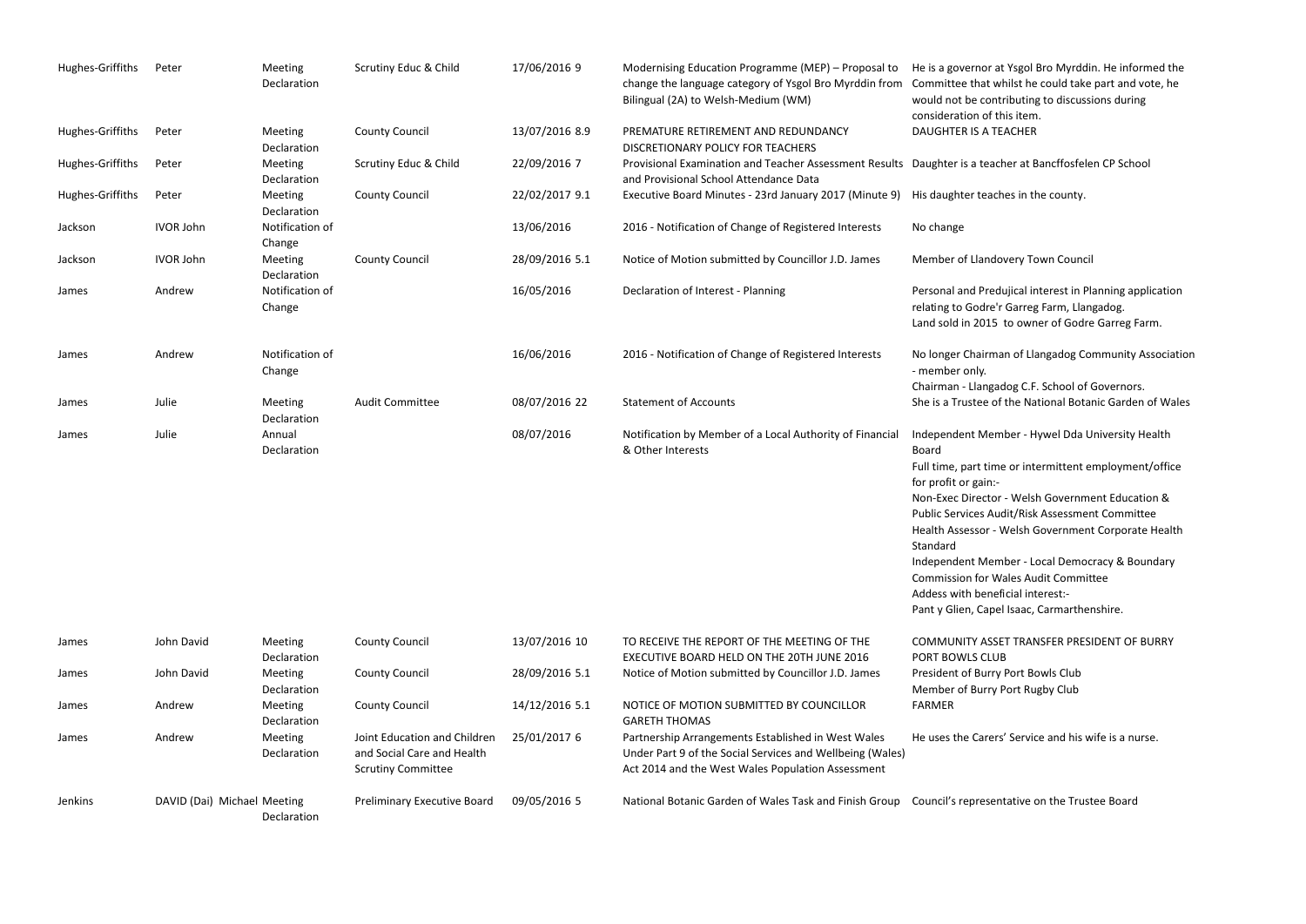| Hughes-Griffiths | Peter                       | Meeting<br>Declaration        | Scrutiny Educ & Child                                                                   | 17/06/2016 9   | Modernising Education Programme (MEP) - Proposal to<br>change the language category of Ysgol Bro Myrddin from<br>Bilingual (2A) to Welsh-Medium (WM)                 | He is a governo<br>Committee that<br>would not be co<br>consideration o                                                                                                                                                       |
|------------------|-----------------------------|-------------------------------|-----------------------------------------------------------------------------------------|----------------|----------------------------------------------------------------------------------------------------------------------------------------------------------------------|-------------------------------------------------------------------------------------------------------------------------------------------------------------------------------------------------------------------------------|
| Hughes-Griffiths | Peter                       | Meeting<br>Declaration        | <b>County Council</b>                                                                   | 13/07/2016 8.9 | PREMATURE RETIREMENT AND REDUNDANCY<br>DISCRETIONARY POLICY FOR TEACHERS                                                                                             | <b>DAUGHTER IS A</b>                                                                                                                                                                                                          |
| Hughes-Griffiths | Peter                       | <b>Meeting</b><br>Declaration | Scrutiny Educ & Child                                                                   | 22/09/2016 7   | Provisional Examination and Teacher Assessment Results<br>and Provisional School Attendance Data                                                                     | Daughter is a te                                                                                                                                                                                                              |
| Hughes-Griffiths | Peter                       | Meeting<br>Declaration        | <b>County Council</b>                                                                   | 22/02/2017 9.1 | Executive Board Minutes - 23rd January 2017 (Minute 9)                                                                                                               | His daughter te                                                                                                                                                                                                               |
| Jackson          | <b>IVOR John</b>            | Notification of<br>Change     |                                                                                         | 13/06/2016     | 2016 - Notification of Change of Registered Interests                                                                                                                | No change                                                                                                                                                                                                                     |
| Jackson          | <b>IVOR John</b>            | <b>Meeting</b><br>Declaration | <b>County Council</b>                                                                   | 28/09/2016 5.1 | Notice of Motion submitted by Councillor J.D. James                                                                                                                  | Member of Llar                                                                                                                                                                                                                |
| James            | Andrew                      | Notification of<br>Change     |                                                                                         | 16/05/2016     | Declaration of Interest - Planning                                                                                                                                   | Personal and Pr<br>relating to Godr<br>Land sold in 201                                                                                                                                                                       |
| James            | Andrew                      | Notification of<br>Change     |                                                                                         | 16/06/2016     | 2016 - Notification of Change of Registered Interests                                                                                                                | No longer Chair<br>- member only.<br>Chairman - Llan                                                                                                                                                                          |
| James            | Julie                       | Meeting<br>Declaration        | <b>Audit Committee</b>                                                                  | 08/07/2016 22  | <b>Statement of Accounts</b>                                                                                                                                         | She is a Trustee                                                                                                                                                                                                              |
| James            | Julie                       | Annual<br>Declaration         |                                                                                         | 08/07/2016     | Notification by Member of a Local Authority of Financial<br>& Other Interests                                                                                        | Independent M<br><b>Board</b><br>Full time, part t<br>for profit or gain<br>Non-Exec Direct<br>Public Services<br><b>Health Assessor</b><br>Standard<br>Independent M<br>Commission for<br>Addess with be<br>Pant y Glien, Ca |
| James            | John David                  | <b>Meeting</b><br>Declaration | <b>County Council</b>                                                                   | 13/07/2016 10  | TO RECEIVE THE REPORT OF THE MEETING OF THE<br>EXECUTIVE BOARD HELD ON THE 20TH JUNE 2016                                                                            | <b>COMMUNITY A</b><br>PORT BOWLS CI                                                                                                                                                                                           |
| James            | John David                  | Meeting<br>Declaration        | <b>County Council</b>                                                                   | 28/09/2016 5.1 | Notice of Motion submitted by Councillor J.D. James                                                                                                                  | President of Bu<br>Member of Bur                                                                                                                                                                                              |
| James            | Andrew                      | Meeting<br>Declaration        | <b>County Council</b>                                                                   | 14/12/2016 5.1 | NOTICE OF MOTION SUBMITTED BY COUNCILLOR<br><b>GARETH THOMAS</b>                                                                                                     | <b>FARMER</b>                                                                                                                                                                                                                 |
| James            | Andrew                      | Meeting<br>Declaration        | Joint Education and Children<br>and Social Care and Health<br><b>Scrutiny Committee</b> | 25/01/2017 6   | Partnership Arrangements Established in West Wales<br>Under Part 9 of the Social Services and Wellbeing (Wales)<br>Act 2014 and the West Wales Population Assessment | He uses the Car                                                                                                                                                                                                               |
| Jenkins          | DAVID (Dai) Michael Meeting |                               | Preliminary Executive Board                                                             | 09/05/2016 5   | National Botanic Garden of Wales Task and Finish Group Council's repres                                                                                              |                                                                                                                                                                                                                               |

Declaration

esentative on the Trustee Board

or at Ysgol Bro Myrddin. He informed the at whilst he could take part and vote, he contributing to discussions during of this item. **A TEACHER** 

eacher at Bancffosfelen CP School

eaches in the county.

ndovery Town Council

redujical interest in Planning application Ire'r Garreg Farm, Llangadog. 015 to owner of Godre Garreg Farm.

Irman of Llangadog Community Association

ngadog C.F. School of Governors. e of the National Botanic Garden of Wales

Iember - Hywel Dda University Health

time or intermittent employment/office in:-

ctor - Welsh Government Education & Public Audit/Risk Assessment Committee or - Welsh Government Corporate Health

Iember - Local Democracy & Boundary r Wales Audit Committee eneficial interest:apel Isaac, Carmarthenshire.

ASSET TRANSFER PRESIDENT OF BURRY CLUB urry Port Bowls Club Irry Port Rugby Club

rers' Service and his wife is a nurse.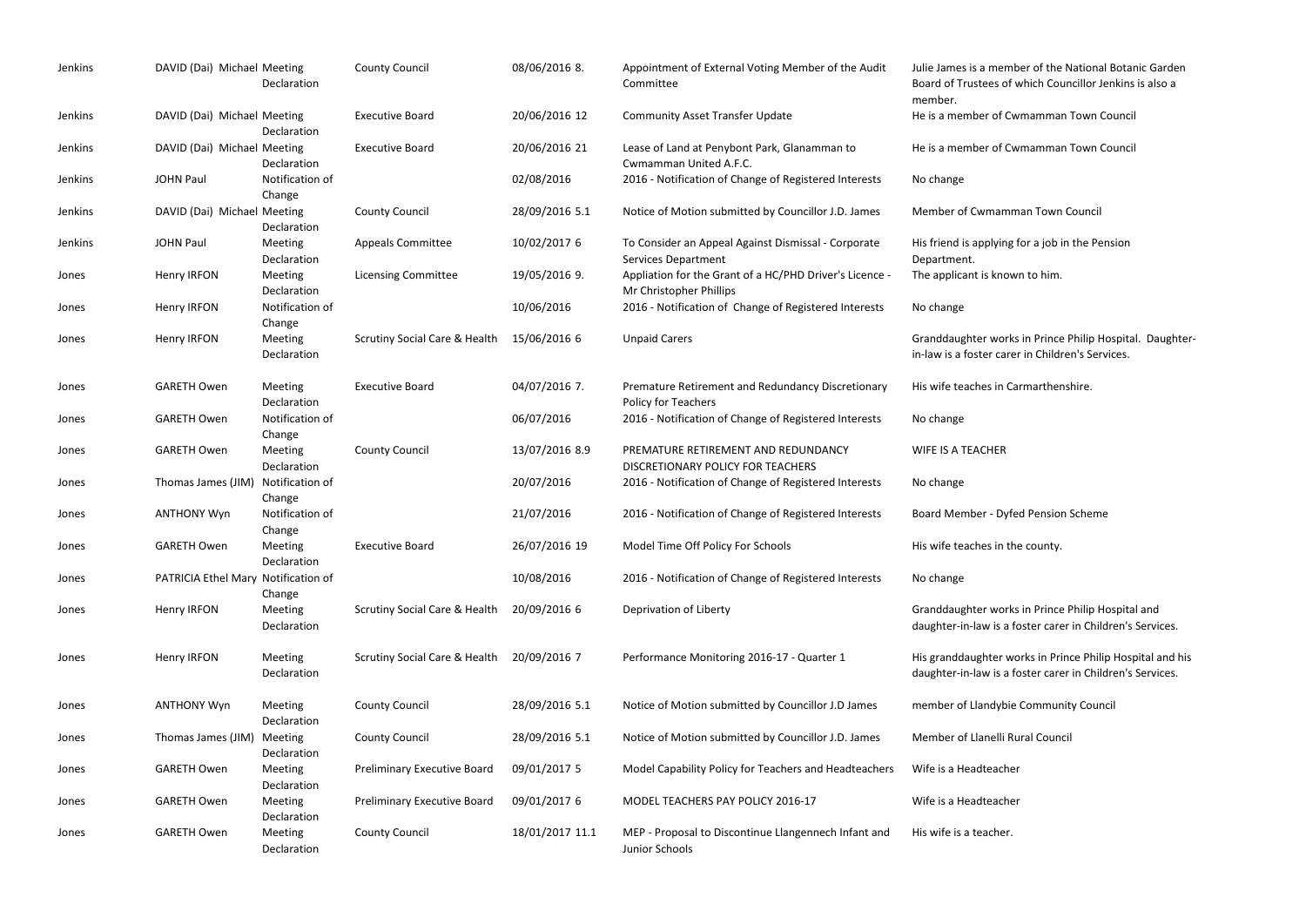| Jenkins | DAVID (Dai) Michael Meeting         | Declaration                   | <b>County Council</b>                    | 08/06/2016 8.   | Appointment of External Voting Member of the Audit<br>Committee                    | Julie James is a memb<br>Board of Trustees of v<br>member. |
|---------|-------------------------------------|-------------------------------|------------------------------------------|-----------------|------------------------------------------------------------------------------------|------------------------------------------------------------|
| Jenkins | DAVID (Dai) Michael Meeting         | Declaration                   | <b>Executive Board</b>                   | 20/06/2016 12   | <b>Community Asset Transfer Update</b>                                             | He is a member of Cw                                       |
| Jenkins | DAVID (Dai) Michael Meeting         | Declaration                   | <b>Executive Board</b>                   | 20/06/2016 21   | Lease of Land at Penybont Park, Glanamman to<br>Cwmamman United A.F.C.             | He is a member of Cw                                       |
| Jenkins | <b>JOHN Paul</b>                    | Notification of<br>Change     |                                          | 02/08/2016      | 2016 - Notification of Change of Registered Interests                              | No change                                                  |
| Jenkins | DAVID (Dai) Michael Meeting         | Declaration                   | <b>County Council</b>                    | 28/09/2016 5.1  | Notice of Motion submitted by Councillor J.D. James                                | Member of Cwmamm                                           |
| Jenkins | <b>JOHN Paul</b>                    | <b>Meeting</b><br>Declaration | <b>Appeals Committee</b>                 | 10/02/2017 6    | To Consider an Appeal Against Dismissal - Corporate<br><b>Services Department</b>  | His friend is applying f<br>Department.                    |
| Jones   | Henry IRFON                         | Meeting<br>Declaration        | <b>Licensing Committee</b>               | 19/05/2016 9.   | Appliation for the Grant of a HC/PHD Driver's Licence -<br>Mr Christopher Phillips | The applicant is know                                      |
| Jones   | Henry IRFON                         | Notification of<br>Change     |                                          | 10/06/2016      | 2016 - Notification of Change of Registered Interests                              | No change                                                  |
| Jones   | Henry IRFON                         | Meeting<br>Declaration        | <b>Scrutiny Social Care &amp; Health</b> | 15/06/2016 6    | <b>Unpaid Carers</b>                                                               | Granddaughter works<br>in-law is a foster carer            |
| Jones   | <b>GARETH Owen</b>                  | Meeting<br>Declaration        | <b>Executive Board</b>                   | 04/07/2016 7.   | Premature Retirement and Redundancy Discretionary<br>Policy for Teachers           | His wife teaches in Ca                                     |
| Jones   | <b>GARETH Owen</b>                  | Notification of<br>Change     |                                          | 06/07/2016      | 2016 - Notification of Change of Registered Interests                              | No change                                                  |
| Jones   | <b>GARETH Owen</b>                  | Meeting<br>Declaration        | <b>County Council</b>                    | 13/07/2016 8.9  | PREMATURE RETIREMENT AND REDUNDANCY<br>DISCRETIONARY POLICY FOR TEACHERS           | <b>WIFE IS A TEACHER</b>                                   |
| Jones   | Thomas James (JIM)                  | Notification of<br>Change     |                                          | 20/07/2016      | 2016 - Notification of Change of Registered Interests                              | No change                                                  |
| Jones   | <b>ANTHONY Wyn</b>                  | Notification of<br>Change     |                                          | 21/07/2016      | 2016 - Notification of Change of Registered Interests                              | Board Member - Dyfe                                        |
| Jones   | <b>GARETH Owen</b>                  | Meeting<br>Declaration        | <b>Executive Board</b>                   | 26/07/2016 19   | Model Time Off Policy For Schools                                                  | His wife teaches in the                                    |
| Jones   | PATRICIA Ethel Mary Notification of | Change                        |                                          | 10/08/2016      | 2016 - Notification of Change of Registered Interests                              | No change                                                  |
| Jones   | Henry IRFON                         | Meeting<br>Declaration        | <b>Scrutiny Social Care &amp; Health</b> | 20/09/2016 6    | Deprivation of Liberty                                                             | Granddaughter works<br>daughter-in-law is a fo             |
| Jones   | Henry IRFON                         | Meeting<br>Declaration        | <b>Scrutiny Social Care &amp; Health</b> | 20/09/2016 7    | Performance Monitoring 2016-17 - Quarter 1                                         | His granddaughter wo<br>daughter-in-law is a fo            |
| Jones   | <b>ANTHONY Wyn</b>                  | Meeting<br>Declaration        | <b>County Council</b>                    | 28/09/2016 5.1  | Notice of Motion submitted by Councillor J.D James                                 | member of Llandybie                                        |
| Jones   | Thomas James (JIM)                  | Meeting<br>Declaration        | <b>County Council</b>                    | 28/09/2016 5.1  | Notice of Motion submitted by Councillor J.D. James                                | Member of Llanelli Ru                                      |
| Jones   | <b>GARETH Owen</b>                  | Meeting<br>Declaration        | <b>Preliminary Executive Board</b>       | 09/01/2017 5    | Model Capability Policy for Teachers and Headteachers                              | Wife is a Headteacher                                      |
| Jones   | <b>GARETH Owen</b>                  | Meeting<br>Declaration        | Preliminary Executive Board              | 09/01/2017 6    | MODEL TEACHERS PAY POLICY 2016-17                                                  | Wife is a Headteacher                                      |
| Jones   | <b>GARETH Owen</b>                  | Meeting<br>Declaration        | <b>County Council</b>                    | 18/01/2017 11.1 | MEP - Proposal to Discontinue Llangennech Infant and<br>Junior Schools             | His wife is a teacher.                                     |

I member of the National Botanic Garden ees of which Councillor Jenkins is also a

er of Cwmamman Town Council

er of Cwmamman Town Council

vmamman Town Council

pplying for a job in the Pension

is known to him.

Surath Social Care Care Care is extended to Unpaid Carers Carers Grandan Carers in Prince Philip Hospital. Daughterer carer in Children's Services.

es in Carmarthenshire.

1 - Dyfed Pension Scheme

es in the county.

works in Prince Philip Hospital and w is a foster carer in Children's Services.

hter works in Prince Philip Hospital and his w is a foster carer in Children's Services.

andybie Community Council

anelli Rural Council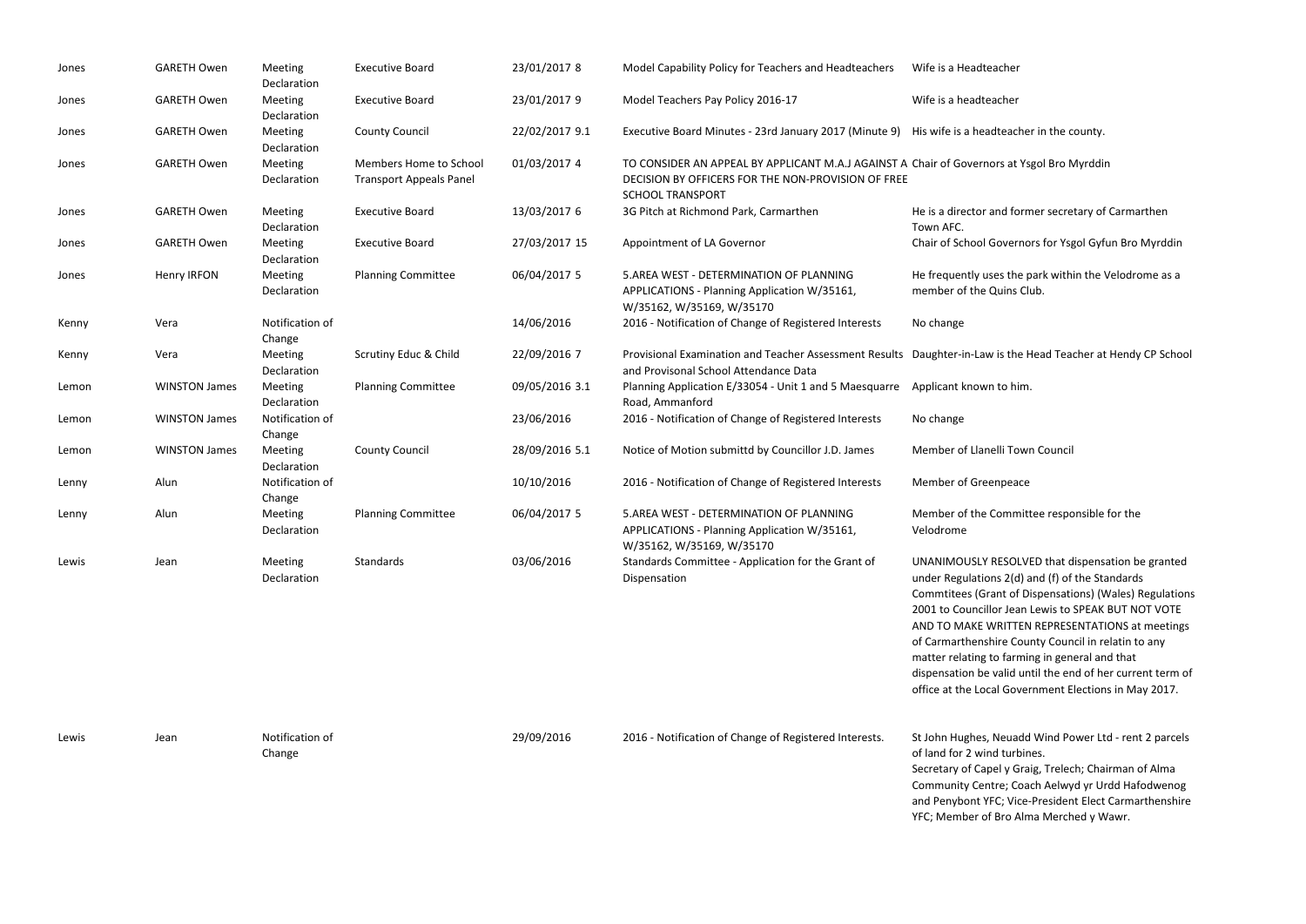| Jones | <b>GARETH Owen</b>   | Meeting<br>Declaration    | <b>Executive Board</b>                                   | 23/01/2017 8   | Model Capability Policy for Teachers and Headteachers                                                                                                        | Wife is a Headteacher                                                                                                                                                                                                                           |
|-------|----------------------|---------------------------|----------------------------------------------------------|----------------|--------------------------------------------------------------------------------------------------------------------------------------------------------------|-------------------------------------------------------------------------------------------------------------------------------------------------------------------------------------------------------------------------------------------------|
| Jones | <b>GARETH Owen</b>   | Meeting<br>Declaration    | <b>Executive Board</b>                                   | 23/01/2017 9   | Model Teachers Pay Policy 2016-17                                                                                                                            | Wife is a headteacher                                                                                                                                                                                                                           |
| Jones | <b>GARETH Owen</b>   | Meeting<br>Declaration    | <b>County Council</b>                                    | 22/02/2017 9.1 | Executive Board Minutes - 23rd January 2017 (Minute 9)                                                                                                       | His wife is a headteache                                                                                                                                                                                                                        |
| Jones | <b>GARETH Owen</b>   | Meeting<br>Declaration    | Members Home to School<br><b>Transport Appeals Panel</b> | 01/03/2017 4   | TO CONSIDER AN APPEAL BY APPLICANT M.A.J AGAINST A Chair of Governors at Ys<br>DECISION BY OFFICERS FOR THE NON-PROVISION OF FREE<br><b>SCHOOL TRANSPORT</b> |                                                                                                                                                                                                                                                 |
| Jones | <b>GARETH Owen</b>   | Meeting<br>Declaration    | <b>Executive Board</b>                                   | 13/03/2017 6   | 3G Pitch at Richmond Park, Carmarthen                                                                                                                        | He is a director and forr<br>Town AFC.                                                                                                                                                                                                          |
| Jones | <b>GARETH Owen</b>   | Meeting<br>Declaration    | <b>Executive Board</b>                                   | 27/03/2017 15  | Appointment of LA Governor                                                                                                                                   | Chair of School Governo                                                                                                                                                                                                                         |
| Jones | Henry IRFON          | Meeting<br>Declaration    | <b>Planning Committee</b>                                | 06/04/2017 5   | 5.AREA WEST - DETERMINATION OF PLANNING<br>APPLICATIONS - Planning Application W/35161,<br>W/35162, W/35169, W/35170                                         | He frequently uses the p<br>member of the Quins Cl                                                                                                                                                                                              |
| Kenny | Vera                 | Notification of<br>Change |                                                          | 14/06/2016     | 2016 - Notification of Change of Registered Interests                                                                                                        | No change                                                                                                                                                                                                                                       |
| Kenny | Vera                 | Meeting<br>Declaration    | Scrutiny Educ & Child                                    | 22/09/2016 7   | Provisional Examination and Teacher Assessment Results<br>and Provisonal School Attendance Data                                                              | Daughter-in-Law is the I                                                                                                                                                                                                                        |
| Lemon | <b>WINSTON James</b> | Meeting<br>Declaration    | <b>Planning Committee</b>                                | 09/05/2016 3.1 | Planning Application E/33054 - Unit 1 and 5 Maesquarre<br>Road, Ammanford                                                                                    | Applicant known to him                                                                                                                                                                                                                          |
| Lemon | <b>WINSTON James</b> | Notification of<br>Change |                                                          | 23/06/2016     | 2016 - Notification of Change of Registered Interests                                                                                                        | No change                                                                                                                                                                                                                                       |
| Lemon | <b>WINSTON James</b> | Meeting<br>Declaration    | <b>County Council</b>                                    | 28/09/2016 5.1 | Notice of Motion submittd by Councillor J.D. James                                                                                                           | Member of Llanelli Tow                                                                                                                                                                                                                          |
| Lenny | Alun                 | Notification of<br>Change |                                                          | 10/10/2016     | 2016 - Notification of Change of Registered Interests                                                                                                        | Member of Greenpeace                                                                                                                                                                                                                            |
| Lenny | Alun                 | Meeting<br>Declaration    | <b>Planning Committee</b>                                | 06/04/2017 5   | 5.AREA WEST - DETERMINATION OF PLANNING<br>APPLICATIONS - Planning Application W/35161,<br>W/35162, W/35169, W/35170                                         | Member of the Commit<br>Velodrome                                                                                                                                                                                                               |
| Lewis | Jean                 | Meeting<br>Declaration    | Standards                                                | 03/06/2016     | Standards Committee - Application for the Grant of<br>Dispensation                                                                                           | <b>UNANIMOUSLY RESOLV</b><br>under Regulations 2(d) a<br>Commtitees (Grant of D<br>2001 to Councillor Jean<br>AND TO MAKE WRITTEN<br>of Carmarthenshire Cou<br>matter relating to farmi<br>dispensation be valid ur<br>office at the Local Gove |

Lewis Jean Notification of

Change

29/09/2016 2016 - Notification of Change of Registered Interests. St John Hughes, Neuadd Wind Power Ltd - rent 2 parcels

of land for 2 wind turbines. Secretary of Capel y Graig, Trelech; Chairman of Alma Community Centre; Coach Aelwyd yr Urdd Hafodwenog and Penybont YFC; Vice-President Elect Carmarthenshire YFC; Member of Bro Alma Merched y Wawr.

Padteacher in the county.

nors at Ysgol Bro Myrddin

and former secretary of Carmarthen

Governors for Ysgol Gyfun Bro Myrddin

uses the park within the Velodrome as a Quins Club.

aw is the Head Teacher at Hendy CP School

 $n$ n to him.

nelli Town Council

**Committee responsible for the** 

RESOLVED that dispensation be granted ions 2(d) and (f) of the Standards Grant of Dispensations) (Wales) Regulations 2001 illor Jean Lewis to SPEAK BUT NOT VOTE MITTEN REPRESENTATIONS at meetings shire County Council in relatin to any to farming in general and that e valid until the end of her current term of ocal Government Elections in May 2017.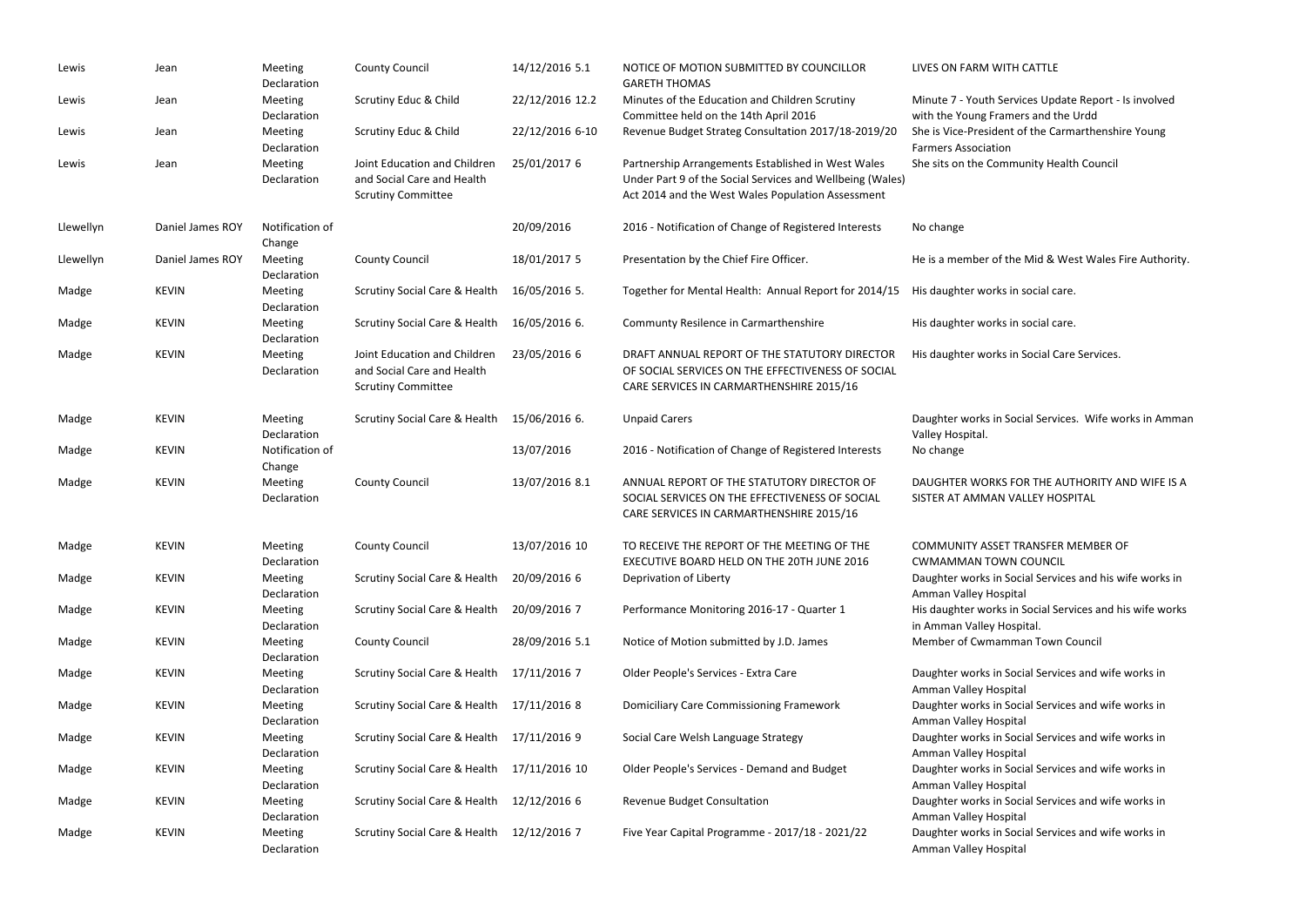| Lewis     | Jean             | Meeting<br>Declaration    | <b>County Council</b>                                                                   | 14/12/2016 5.1  | NOTICE OF MOTION SUBMITTED BY COUNCILLOR<br><b>GARETH THOMAS</b>                                                                                                     | <b>LIVES ON FARM</b>                  |
|-----------|------------------|---------------------------|-----------------------------------------------------------------------------------------|-----------------|----------------------------------------------------------------------------------------------------------------------------------------------------------------------|---------------------------------------|
| Lewis     | Jean             | Meeting<br>Declaration    | Scrutiny Educ & Child                                                                   | 22/12/2016 12.2 | Minutes of the Education and Children Scrutiny<br>Committee held on the 14th April 2016                                                                              | Minute 7 - Yout<br>with the Young     |
| Lewis     | Jean             | Meeting<br>Declaration    | Scrutiny Educ & Child                                                                   | 22/12/2016 6-10 | Revenue Budget Strateg Consultation 2017/18-2019/20                                                                                                                  | She is Vice-Pres<br>Farmers Associa   |
| Lewis     | Jean             | Meeting<br>Declaration    | Joint Education and Children<br>and Social Care and Health<br><b>Scrutiny Committee</b> | 25/01/2017 6    | Partnership Arrangements Established in West Wales<br>Under Part 9 of the Social Services and Wellbeing (Wales)<br>Act 2014 and the West Wales Population Assessment | She sits on the                       |
| Llewellyn | Daniel James ROY | Notification of<br>Change |                                                                                         | 20/09/2016      | 2016 - Notification of Change of Registered Interests                                                                                                                | No change                             |
| Llewellyn | Daniel James ROY | Meeting<br>Declaration    | <b>County Council</b>                                                                   | 18/01/2017 5    | Presentation by the Chief Fire Officer.                                                                                                                              | He is a member                        |
| Madge     | <b>KEVIN</b>     | Meeting<br>Declaration    | <b>Scrutiny Social Care &amp; Health</b>                                                | 16/05/2016 5.   | Together for Mental Health: Annual Report for 2014/15                                                                                                                | His daughter we                       |
| Madge     | <b>KEVIN</b>     | Meeting<br>Declaration    | <b>Scrutiny Social Care &amp; Health</b>                                                | 16/05/2016 6.   | Communty Resilence in Carmarthenshire                                                                                                                                | His daughter we                       |
| Madge     | <b>KEVIN</b>     | Meeting<br>Declaration    | Joint Education and Children<br>and Social Care and Health<br><b>Scrutiny Committee</b> | 23/05/2016 6    | DRAFT ANNUAL REPORT OF THE STATUTORY DIRECTOR<br>OF SOCIAL SERVICES ON THE EFFECTIVENESS OF SOCIAL<br>CARE SERVICES IN CARMARTHENSHIRE 2015/16                       | His daughter w                        |
| Madge     | <b>KEVIN</b>     | Meeting<br>Declaration    | <b>Scrutiny Social Care &amp; Health</b>                                                | 15/06/2016 6.   | <b>Unpaid Carers</b>                                                                                                                                                 | Daughter works<br>Valley Hospital.    |
| Madge     | <b>KEVIN</b>     | Notification of<br>Change |                                                                                         | 13/07/2016      | 2016 - Notification of Change of Registered Interests                                                                                                                | No change                             |
| Madge     | <b>KEVIN</b>     | Meeting<br>Declaration    | <b>County Council</b>                                                                   | 13/07/2016 8.1  | ANNUAL REPORT OF THE STATUTORY DIRECTOR OF<br>SOCIAL SERVICES ON THE EFFECTIVENESS OF SOCIAL<br>CARE SERVICES IN CARMARTHENSHIRE 2015/16                             | <b>DAUGHTER WO</b><br>SISTER AT AMM   |
| Madge     | <b>KEVIN</b>     | Meeting<br>Declaration    | <b>County Council</b>                                                                   | 13/07/2016 10   | TO RECEIVE THE REPORT OF THE MEETING OF THE<br>EXECUTIVE BOARD HELD ON THE 20TH JUNE 2016                                                                            | <b>COMMUNITY A</b><br><b>CWMAMMAN</b> |
| Madge     | <b>KEVIN</b>     | Meeting<br>Declaration    | Scrutiny Social Care & Health                                                           | 20/09/2016 6    | Deprivation of Liberty                                                                                                                                               | Daughter works<br>Amman Valley        |
| Madge     | <b>KEVIN</b>     | Meeting<br>Declaration    | <b>Scrutiny Social Care &amp; Health</b>                                                | 20/09/2016 7    | Performance Monitoring 2016-17 - Quarter 1                                                                                                                           | His daughter w<br>in Amman Valle      |
| Madge     | <b>KEVIN</b>     | Meeting<br>Declaration    | <b>County Council</b>                                                                   | 28/09/2016 5.1  | Notice of Motion submitted by J.D. James                                                                                                                             | Member of Cw                          |
| Madge     | <b>KEVIN</b>     | Meeting<br>Declaration    | Scrutiny Social Care & Health                                                           | 17/11/2016 7    | Older People's Services - Extra Care                                                                                                                                 | Daughter works<br>Amman Valley        |
| Madge     | <b>KEVIN</b>     | Meeting<br>Declaration    | Scrutiny Social Care & Health                                                           | 17/11/2016 8    | <b>Domiciliary Care Commissioning Framework</b>                                                                                                                      | Daughter works<br>Amman Valley        |
| Madge     | <b>KEVIN</b>     | Meeting<br>Declaration    | <b>Scrutiny Social Care &amp; Health</b>                                                | 17/11/2016 9    | Social Care Welsh Language Strategy                                                                                                                                  | Daughter works<br>Amman Valley        |
| Madge     | <b>KEVIN</b>     | Meeting<br>Declaration    | Scrutiny Social Care & Health                                                           | 17/11/2016 10   | Older People's Services - Demand and Budget                                                                                                                          | Daughter works<br>Amman Valley        |
| Madge     | <b>KEVIN</b>     | Meeting<br>Declaration    | Scrutiny Social Care & Health                                                           | 12/12/2016 6    | Revenue Budget Consultation                                                                                                                                          | Daughter works<br>Amman Valley        |
| Madge     | <b>KEVIN</b>     | Meeting<br>Declaration    | Scrutiny Social Care & Health                                                           | 12/12/2016 7    | Five Year Capital Programme - 2017/18 - 2021/22                                                                                                                      | Daughter works<br>Amman Valley        |

### I WITH CATTLE

th Services Update Report - Is involved Framers and the Urdd sident of the Carmarthenshire Young iation

Community Health Council

r of the Mid & West Wales Fire Authority.

vorks in social care.

vorks in social care.

vorks in Social Care Services.

ks in Social Services. Wife works in Amman

DRKS FOR THE AUTHORITY AND WIFE IS A **MAN VALLEY HOSPITAL** 

**ASSET TRANSFER MEMBER OF** 

TOWN COUNCIL

ks in Social Services and his wife works in Hospital

vorks in Social Services and his wife works

ey Hospital.

mamman Town Council

ks in Social Services and wife works in Hospital

ks in Social Services and wife works in Hospital

ks in Social Services and wife works in Hospital

ks in Social Services and wife works in Hospital

ks in Social Services and wife works in Hospital

ks in Social Services and wife works in Hospital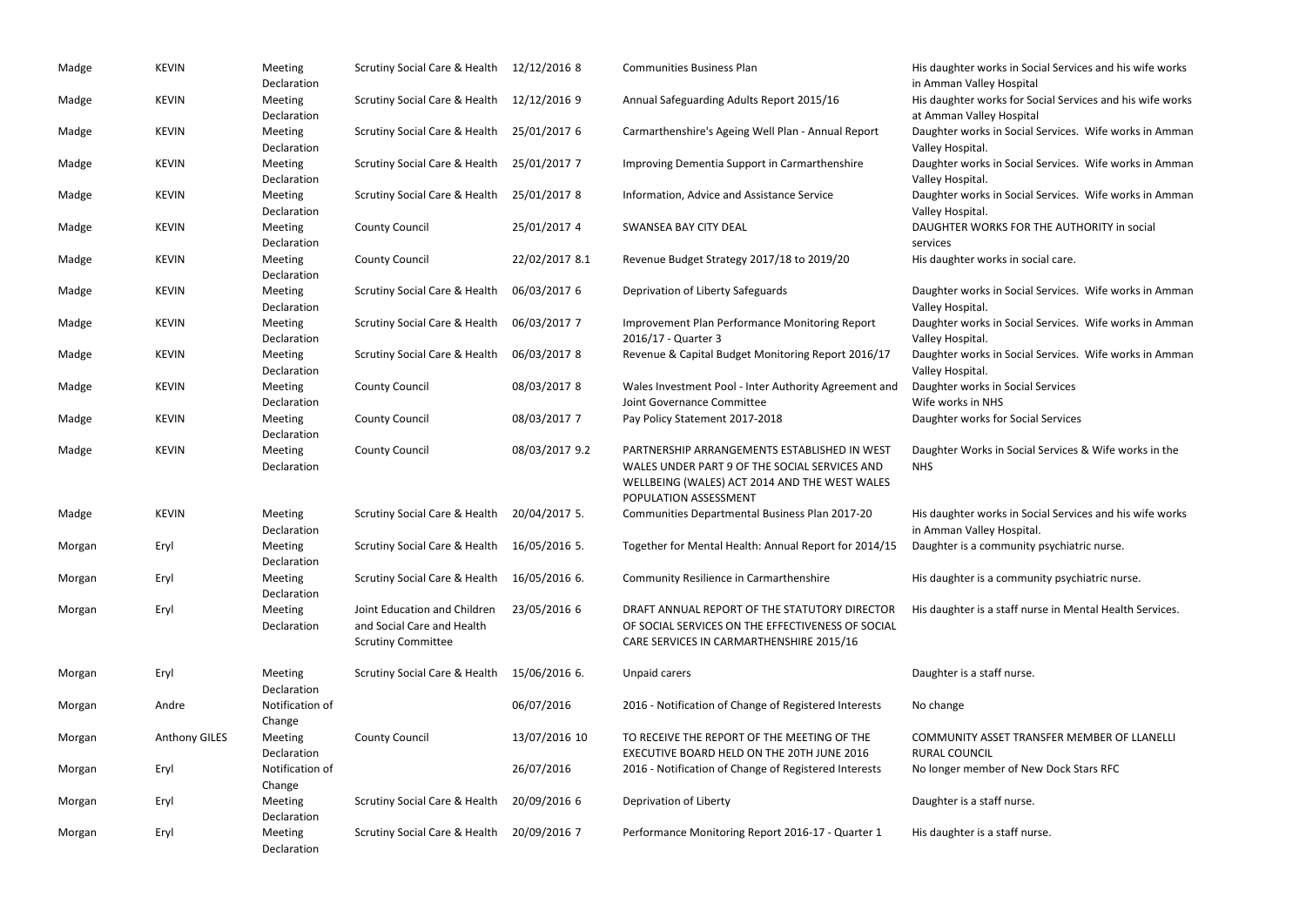| Madge  | <b>KEVIN</b>         | Meeting<br>Declaration    | Scrutiny Social Care & Health                                                           | 12/12/2016 8   | <b>Communities Business Plan</b>                                                                                                                                        | His daughter works in Social<br>in Amman Valley Hospital  |
|--------|----------------------|---------------------------|-----------------------------------------------------------------------------------------|----------------|-------------------------------------------------------------------------------------------------------------------------------------------------------------------------|-----------------------------------------------------------|
| Madge  | <b>KEVIN</b>         | Meeting<br>Declaration    | Scrutiny Social Care & Health                                                           | 12/12/2016 9   | Annual Safeguarding Adults Report 2015/16                                                                                                                               | His daughter works for Socia<br>at Amman Valley Hospital  |
| Madge  | <b>KEVIN</b>         | Meeting<br>Declaration    | Scrutiny Social Care & Health                                                           | 25/01/2017 6   | Carmarthenshire's Ageing Well Plan - Annual Report                                                                                                                      | Daughter works in Social Ser<br>Valley Hospital.          |
| Madge  | <b>KEVIN</b>         | Meeting<br>Declaration    | <b>Scrutiny Social Care &amp; Health</b>                                                | 25/01/2017 7   | Improving Dementia Support in Carmarthenshire                                                                                                                           | Daughter works in Social Ser<br>Valley Hospital.          |
| Madge  | <b>KEVIN</b>         | Meeting<br>Declaration    | Scrutiny Social Care & Health                                                           | 25/01/2017 8   | Information, Advice and Assistance Service                                                                                                                              | Daughter works in Social Ser<br>Valley Hospital.          |
| Madge  | <b>KEVIN</b>         | Meeting<br>Declaration    | <b>County Council</b>                                                                   | 25/01/2017 4   | SWANSEA BAY CITY DEAL                                                                                                                                                   | <b>DAUGHTER WORKS FOR THE</b><br>services                 |
| Madge  | <b>KEVIN</b>         | Meeting<br>Declaration    | <b>County Council</b>                                                                   | 22/02/2017 8.1 | Revenue Budget Strategy 2017/18 to 2019/20                                                                                                                              | His daughter works in social                              |
| Madge  | <b>KEVIN</b>         | Meeting<br>Declaration    | Scrutiny Social Care & Health                                                           | 06/03/2017 6   | Deprivation of Liberty Safeguards                                                                                                                                       | Daughter works in Social Ser<br>Valley Hospital.          |
| Madge  | <b>KEVIN</b>         | Meeting<br>Declaration    | <b>Scrutiny Social Care &amp; Health</b>                                                | 06/03/2017 7   | Improvement Plan Performance Monitoring Report<br>2016/17 - Quarter 3                                                                                                   | Daughter works in Social Ser<br>Valley Hospital.          |
| Madge  | <b>KEVIN</b>         | Meeting<br>Declaration    | Scrutiny Social Care & Health                                                           | 06/03/2017 8   | Revenue & Capital Budget Monitoring Report 2016/17                                                                                                                      | Daughter works in Social Ser<br>Valley Hospital.          |
| Madge  | <b>KEVIN</b>         | Meeting<br>Declaration    | <b>County Council</b>                                                                   | 08/03/2017 8   | Wales Investment Pool - Inter Authority Agreement and<br>Joint Governance Committee                                                                                     | Daughter works in Social Ser<br>Wife works in NHS         |
| Madge  | <b>KEVIN</b>         | Meeting<br>Declaration    | <b>County Council</b>                                                                   | 08/03/2017 7   | Pay Policy Statement 2017-2018                                                                                                                                          | Daughter works for Social Se                              |
| Madge  | <b>KEVIN</b>         | Meeting<br>Declaration    | <b>County Council</b>                                                                   | 08/03/2017 9.2 | PARTNERSHIP ARRANGEMENTS ESTABLISHED IN WEST<br>WALES UNDER PART 9 OF THE SOCIAL SERVICES AND<br>WELLBEING (WALES) ACT 2014 AND THE WEST WALES<br>POPULATION ASSESSMENT | Daughter Works in Social Se<br><b>NHS</b>                 |
| Madge  | <b>KEVIN</b>         | Meeting<br>Declaration    | Scrutiny Social Care & Health                                                           | 20/04/2017 5.  | Communities Departmental Business Plan 2017-20                                                                                                                          | His daughter works in Social<br>in Amman Valley Hospital. |
| Morgan | Eryl                 | Meeting<br>Declaration    | Scrutiny Social Care & Health 16/05/2016 5.                                             |                | Together for Mental Health: Annual Report for 2014/15                                                                                                                   | Daughter is a community ps                                |
| Morgan | Eryl                 | Meeting<br>Declaration    | Scrutiny Social Care & Health                                                           | 16/05/2016 6.  | Community Resilience in Carmarthenshire                                                                                                                                 | His daughter is a community                               |
| Morgan | Eryl                 | Meeting<br>Declaration    | Joint Education and Children<br>and Social Care and Health<br><b>Scrutiny Committee</b> | 23/05/2016 6   | DRAFT ANNUAL REPORT OF THE STATUTORY DIRECTOR<br>OF SOCIAL SERVICES ON THE EFFECTIVENESS OF SOCIAL<br>CARE SERVICES IN CARMARTHENSHIRE 2015/16                          | His daughter is a staff nurse                             |
| Morgan | Eryl                 | Meeting<br>Declaration    | Scrutiny Social Care & Health                                                           | 15/06/2016 6.  | Unpaid carers                                                                                                                                                           | Daughter is a staff nurse.                                |
| Morgan | Andre                | Notification of<br>Change |                                                                                         | 06/07/2016     | 2016 - Notification of Change of Registered Interests                                                                                                                   | No change                                                 |
| Morgan | <b>Anthony GILES</b> | Meeting<br>Declaration    | <b>County Council</b>                                                                   | 13/07/2016 10  | TO RECEIVE THE REPORT OF THE MEETING OF THE<br>EXECUTIVE BOARD HELD ON THE 20TH JUNE 2016                                                                               | <b>COMMUNITY ASSET TRANSF</b><br><b>RURAL COUNCIL</b>     |
| Morgan | Eryl                 | Notification of<br>Change |                                                                                         | 26/07/2016     | 2016 - Notification of Change of Registered Interests                                                                                                                   | No longer member of New D                                 |
| Morgan | Eryl                 | Meeting<br>Declaration    | Scrutiny Social Care & Health                                                           | 20/09/2016 6   | Deprivation of Liberty                                                                                                                                                  | Daughter is a staff nurse.                                |
| Morgan | Eryl                 | Meeting<br>Declaration    | <b>Scrutiny Social Care &amp; Health</b>                                                | 20/09/2016 7   | Performance Monitoring Report 2016-17 - Quarter 1                                                                                                                       | His daughter is a staff nurse.                            |

- vorks in Social Services and his wife works ley Hospital
- vorks for Social Services and his wife works ley Hospital
- ks in Social Services. Wife works in Amman
- ks in Social Services. Wife works in Amman
- ks in Social Services. Wife works in Amman
- ORKS FOR THE AUTHORITY in social
- vorks in social care.
- ks in Social Services. Wife works in Amman
- ks in Social Services. Wife works in Amman
- ks in Social Services. Wife works in Amman
- 
- ks in Social Services
- **NHS**
- ks for Social Services
- ks in Social Services & Wife works in the
- vorks in Social Services and his wife works ley Hospital.
- community psychiatric nurse.
- s a community psychiatric nurse.
- s a staff nurse in Mental Health Services.
- 
- ASSET TRANSFER MEMBER OF LLANELLI  $21L$ mber of New Dock Stars RFC
- 
-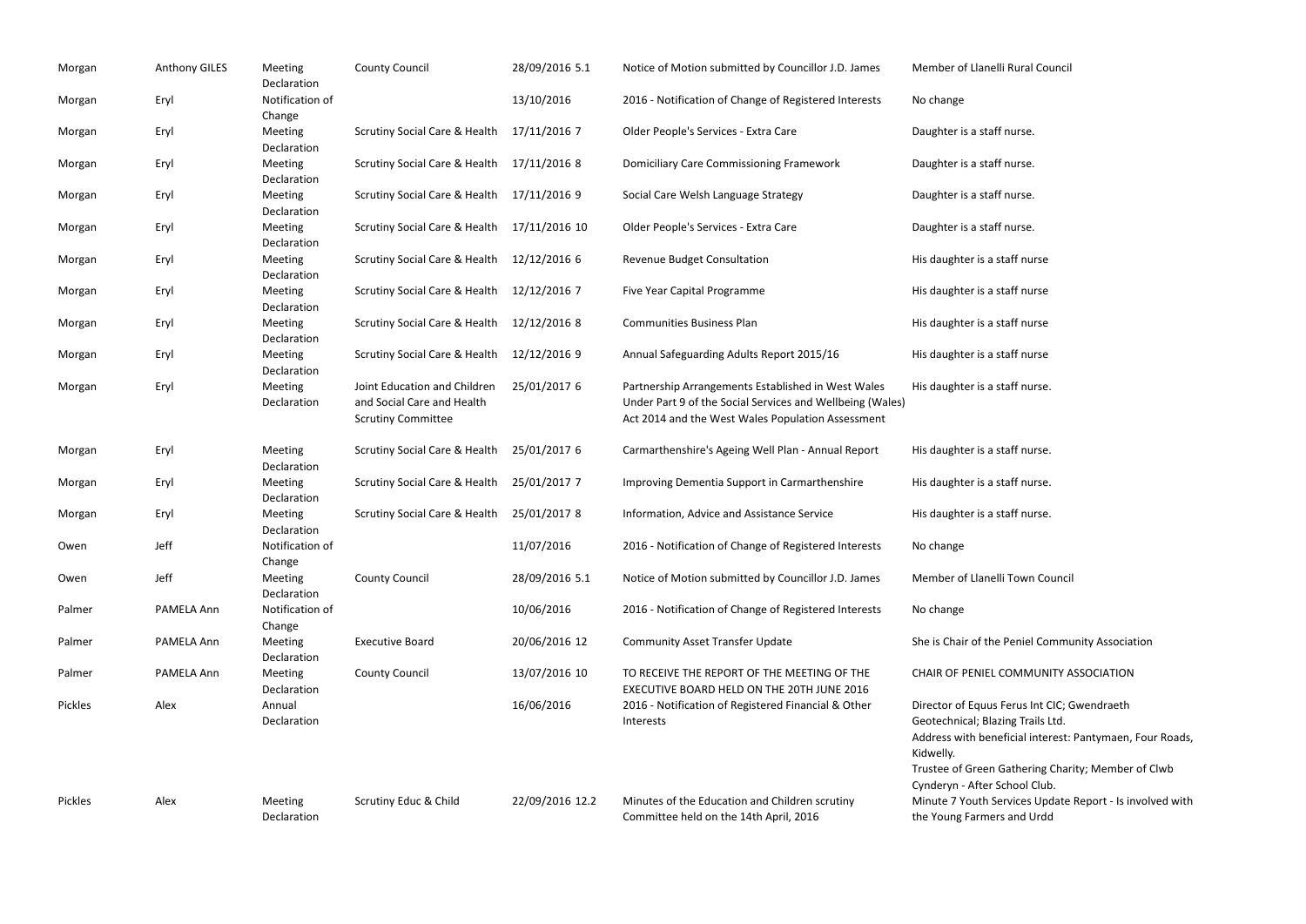| Morgan  | <b>Anthony GILES</b> | Meeting<br>Declaration    | <b>County Council</b>                                                                   | 28/09/2016 5.1  | Notice of Motion submitted by Councillor J.D. James                                                                                                                  | Member of Llanelli Rural Co                                                                                                                        |
|---------|----------------------|---------------------------|-----------------------------------------------------------------------------------------|-----------------|----------------------------------------------------------------------------------------------------------------------------------------------------------------------|----------------------------------------------------------------------------------------------------------------------------------------------------|
| Morgan  | Eryl                 | Notification of<br>Change |                                                                                         | 13/10/2016      | 2016 - Notification of Change of Registered Interests                                                                                                                | No change                                                                                                                                          |
| Morgan  | Eryl                 | Meeting<br>Declaration    | Scrutiny Social Care & Health                                                           | 17/11/2016 7    | Older People's Services - Extra Care                                                                                                                                 | Daughter is a staff nurse.                                                                                                                         |
| Morgan  | Eryl                 | Meeting<br>Declaration    | <b>Scrutiny Social Care &amp; Health</b>                                                | 17/11/2016 8    | <b>Domiciliary Care Commissioning Framework</b>                                                                                                                      | Daughter is a staff nurse.                                                                                                                         |
| Morgan  | Eryl                 | Meeting<br>Declaration    | Scrutiny Social Care & Health                                                           | 17/11/2016 9    | Social Care Welsh Language Strategy                                                                                                                                  | Daughter is a staff nurse.                                                                                                                         |
| Morgan  | Eryl                 | Meeting<br>Declaration    | Scrutiny Social Care & Health                                                           | 17/11/2016 10   | Older People's Services - Extra Care                                                                                                                                 | Daughter is a staff nurse.                                                                                                                         |
| Morgan  | Eryl                 | Meeting<br>Declaration    | <b>Scrutiny Social Care &amp; Health</b>                                                | 12/12/2016 6    | Revenue Budget Consultation                                                                                                                                          | His daughter is a staff nurse                                                                                                                      |
| Morgan  | Eryl                 | Meeting<br>Declaration    | <b>Scrutiny Social Care &amp; Health</b>                                                | 12/12/2016 7    | Five Year Capital Programme                                                                                                                                          | His daughter is a staff nurse                                                                                                                      |
| Morgan  | Eryl                 | Meeting<br>Declaration    | <b>Scrutiny Social Care &amp; Health</b>                                                | 12/12/2016 8    | <b>Communities Business Plan</b>                                                                                                                                     | His daughter is a staff nurse                                                                                                                      |
| Morgan  | Eryl                 | Meeting<br>Declaration    | <b>Scrutiny Social Care &amp; Health</b>                                                | 12/12/2016 9    | Annual Safeguarding Adults Report 2015/16                                                                                                                            | His daughter is a staff nurse                                                                                                                      |
| Morgan  | Eryl                 | Meeting<br>Declaration    | Joint Education and Children<br>and Social Care and Health<br><b>Scrutiny Committee</b> | 25/01/2017 6    | Partnership Arrangements Established in West Wales<br>Under Part 9 of the Social Services and Wellbeing (Wales)<br>Act 2014 and the West Wales Population Assessment | His daughter is a staff nurse.                                                                                                                     |
| Morgan  | Eryl                 | Meeting<br>Declaration    | <b>Scrutiny Social Care &amp; Health</b>                                                | 25/01/2017 6    | Carmarthenshire's Ageing Well Plan - Annual Report                                                                                                                   | His daughter is a staff nurse.                                                                                                                     |
| Morgan  | Eryl                 | Meeting<br>Declaration    | <b>Scrutiny Social Care &amp; Health</b>                                                | 25/01/2017 7    | Improving Dementia Support in Carmarthenshire                                                                                                                        | His daughter is a staff nurse.                                                                                                                     |
| Morgan  | Eryl                 | Meeting<br>Declaration    | Scrutiny Social Care & Health                                                           | 25/01/2017 8    | Information, Advice and Assistance Service                                                                                                                           | His daughter is a staff nurse.                                                                                                                     |
| Owen    | Jeff                 | Notification of<br>Change |                                                                                         | 11/07/2016      | 2016 - Notification of Change of Registered Interests                                                                                                                | No change                                                                                                                                          |
| Owen    | Jeff                 | Meeting<br>Declaration    | <b>County Council</b>                                                                   | 28/09/2016 5.1  | Notice of Motion submitted by Councillor J.D. James                                                                                                                  | Member of Llanelli Town Co                                                                                                                         |
| Palmer  | PAMELA Ann           | Notification of<br>Change |                                                                                         | 10/06/2016      | 2016 - Notification of Change of Registered Interests                                                                                                                | No change                                                                                                                                          |
| Palmer  | PAMELA Ann           | Meeting<br>Declaration    | <b>Executive Board</b>                                                                  | 20/06/2016 12   | <b>Community Asset Transfer Update</b>                                                                                                                               | She is Chair of the Peniel Co                                                                                                                      |
| Palmer  | PAMELA Ann           | Meeting<br>Declaration    | <b>County Council</b>                                                                   | 13/07/2016 10   | TO RECEIVE THE REPORT OF THE MEETING OF THE<br>EXECUTIVE BOARD HELD ON THE 20TH JUNE 2016                                                                            | CHAIR OF PENIEL COMMUN                                                                                                                             |
| Pickles | Alex                 | Annual<br>Declaration     |                                                                                         | 16/06/2016      | 2016 - Notification of Registered Financial & Other<br>Interests                                                                                                     | Director of Equus Ferus Int O<br>Geotechnical; Blazing Trails I<br>Address with beneficial inter<br>Kidwelly.<br><b>Trustee of Green Gathering</b> |
| Pickles | Alex                 | <b>Meeting</b>            | Scrutiny Educ & Child                                                                   | 22/09/2016 12.2 | Minutes of the Education and Children scrutiny                                                                                                                       | Cynderyn - After School Cluk<br>Minute 7 Youth Services Up                                                                                         |

en Gathering Charity; Member of Clwb er School Club. Services Update Report - Is involved with the Young Farmers and Urdd

Declaration

Committee held on the 14th April, 2016

### nelli Rural Council

nelli Town Council

the Peniel Community Association

### IEL COMMUNITY ASSOCIATION

uus Ferus Int CIC; Gwendraeth Blazing Trails Ltd. beneficial interest: Pantymaen, Four Roads,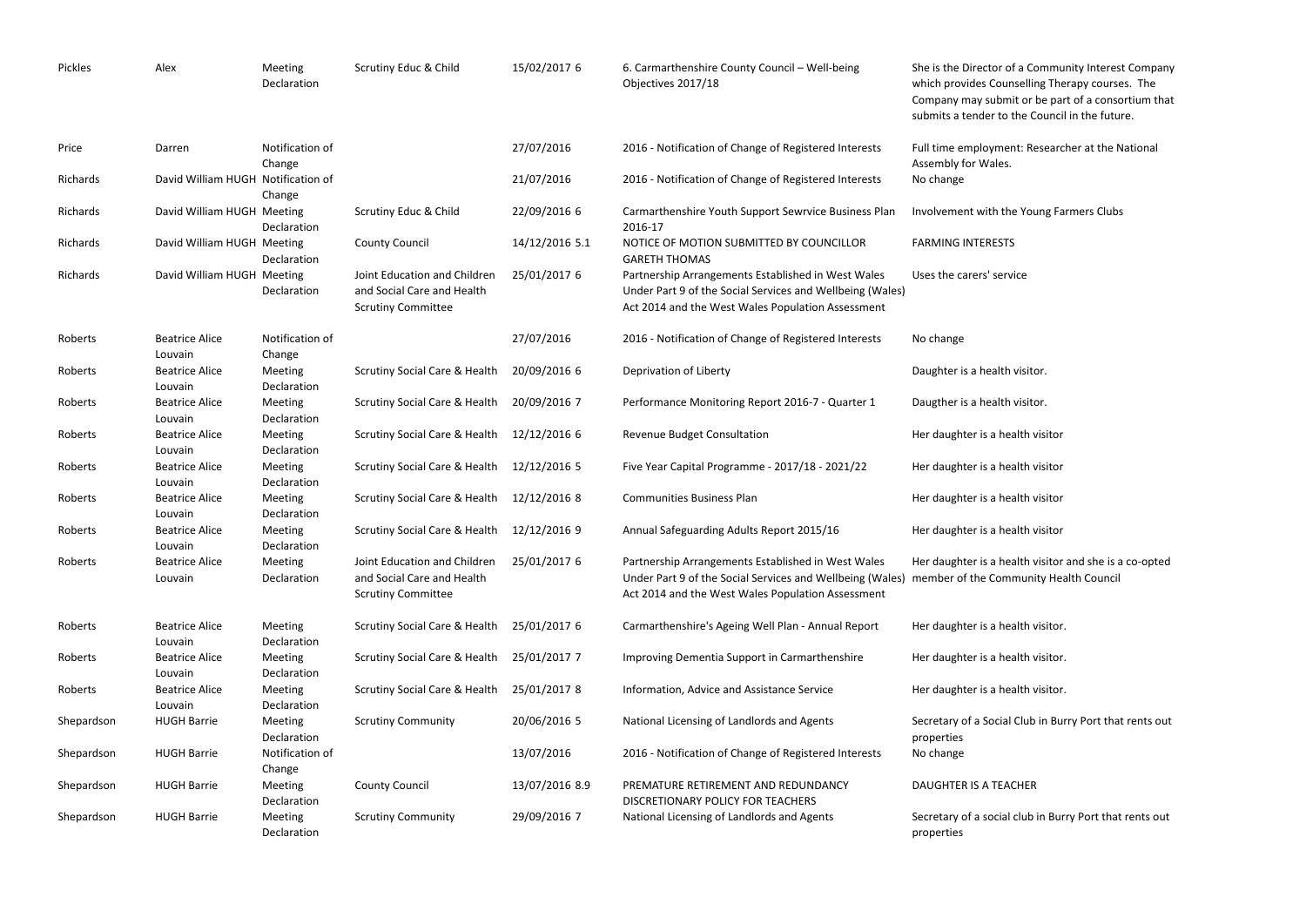| Pickles    | Alex                               | Meeting<br>Declaration    | Scrutiny Educ & Child                                                                   | 15/02/2017 6   | 6. Carmarthenshire County Council - Well-being<br>Objectives 2017/18                                                                                                 | She is the Director of a Commu<br>which provides Counselling The<br>Company may submit or be par<br>submits a tender to the Council |
|------------|------------------------------------|---------------------------|-----------------------------------------------------------------------------------------|----------------|----------------------------------------------------------------------------------------------------------------------------------------------------------------------|-------------------------------------------------------------------------------------------------------------------------------------|
| Price      | Darren                             | Notification of<br>Change |                                                                                         | 27/07/2016     | 2016 - Notification of Change of Registered Interests                                                                                                                | Full time employment: Researc<br>Assembly for Wales.                                                                                |
| Richards   | David William HUGH Notification of | Change                    |                                                                                         | 21/07/2016     | 2016 - Notification of Change of Registered Interests                                                                                                                | No change                                                                                                                           |
| Richards   | David William HUGH Meeting         | Declaration               | Scrutiny Educ & Child                                                                   | 22/09/2016 6   | Carmarthenshire Youth Support Sewrvice Business Plan<br>2016-17                                                                                                      | Involvement with the Young Fa                                                                                                       |
| Richards   | David William HUGH Meeting         | Declaration               | <b>County Council</b>                                                                   | 14/12/2016 5.1 | NOTICE OF MOTION SUBMITTED BY COUNCILLOR<br><b>GARETH THOMAS</b>                                                                                                     | <b>FARMING INTERESTS</b>                                                                                                            |
| Richards   | David William HUGH Meeting         | Declaration               | Joint Education and Children<br>and Social Care and Health<br><b>Scrutiny Committee</b> | 25/01/2017 6   | Partnership Arrangements Established in West Wales<br>Under Part 9 of the Social Services and Wellbeing (Wales)<br>Act 2014 and the West Wales Population Assessment | Uses the carers' service                                                                                                            |
| Roberts    | <b>Beatrice Alice</b><br>Louvain   | Notification of<br>Change |                                                                                         | 27/07/2016     | 2016 - Notification of Change of Registered Interests                                                                                                                | No change                                                                                                                           |
| Roberts    | <b>Beatrice Alice</b><br>Louvain   | Meeting<br>Declaration    | <b>Scrutiny Social Care &amp; Health</b>                                                | 20/09/2016 6   | Deprivation of Liberty                                                                                                                                               | Daughter is a health visitor.                                                                                                       |
| Roberts    | <b>Beatrice Alice</b><br>Louvain   | Meeting<br>Declaration    | Scrutiny Social Care & Health                                                           | 20/09/2016 7   | Performance Monitoring Report 2016-7 - Quarter 1                                                                                                                     | Daugther is a health visitor.                                                                                                       |
| Roberts    | <b>Beatrice Alice</b><br>Louvain   | Meeting<br>Declaration    | <b>Scrutiny Social Care &amp; Health</b>                                                | 12/12/2016 6   | <b>Revenue Budget Consultation</b>                                                                                                                                   | Her daughter is a health visitor                                                                                                    |
| Roberts    | <b>Beatrice Alice</b><br>Louvain   | Meeting<br>Declaration    | <b>Scrutiny Social Care &amp; Health</b>                                                | 12/12/2016 5   | Five Year Capital Programme - 2017/18 - 2021/22                                                                                                                      | Her daughter is a health visitor                                                                                                    |
| Roberts    | <b>Beatrice Alice</b><br>Louvain   | Meeting<br>Declaration    | Scrutiny Social Care & Health                                                           | 12/12/2016 8   | <b>Communities Business Plan</b>                                                                                                                                     | Her daughter is a health visitor                                                                                                    |
| Roberts    | <b>Beatrice Alice</b><br>Louvain   | Meeting<br>Declaration    | Scrutiny Social Care & Health                                                           | 12/12/2016 9   | Annual Safeguarding Adults Report 2015/16                                                                                                                            | Her daughter is a health visitor                                                                                                    |
| Roberts    | <b>Beatrice Alice</b><br>Louvain   | Meeting<br>Declaration    | Joint Education and Children<br>and Social Care and Health<br><b>Scrutiny Committee</b> | 25/01/2017 6   | Partnership Arrangements Established in West Wales<br>Under Part 9 of the Social Services and Wellbeing (Wales)<br>Act 2014 and the West Wales Population Assessment | Her daughter is a health visitor<br>member of the Community Hea                                                                     |
| Roberts    | <b>Beatrice Alice</b><br>Louvain   | Meeting<br>Declaration    | <b>Scrutiny Social Care &amp; Health</b>                                                | 25/01/2017 6   | Carmarthenshire's Ageing Well Plan - Annual Report                                                                                                                   | Her daughter is a health visitor.                                                                                                   |
| Roberts    | <b>Beatrice Alice</b><br>Louvain   | Meeting<br>Declaration    | <b>Scrutiny Social Care &amp; Health</b>                                                | 25/01/2017 7   | Improving Dementia Support in Carmarthenshire                                                                                                                        | Her daughter is a health visitor.                                                                                                   |
| Roberts    | <b>Beatrice Alice</b><br>Louvain   | Meeting<br>Declaration    | <b>Scrutiny Social Care &amp; Health</b>                                                | 25/01/2017 8   | Information, Advice and Assistance Service                                                                                                                           | Her daughter is a health visitor.                                                                                                   |
| Shepardson | <b>HUGH Barrie</b>                 | Meeting<br>Declaration    | <b>Scrutiny Community</b>                                                               | 20/06/2016 5   | National Licensing of Landlords and Agents                                                                                                                           | Secretary of a Social Club in Bur<br>properties                                                                                     |
| Shepardson | <b>HUGH Barrie</b>                 | Notification of<br>Change |                                                                                         | 13/07/2016     | 2016 - Notification of Change of Registered Interests                                                                                                                | No change                                                                                                                           |
| Shepardson | <b>HUGH Barrie</b>                 | Meeting<br>Declaration    | <b>County Council</b>                                                                   | 13/07/2016 8.9 | PREMATURE RETIREMENT AND REDUNDANCY<br>DISCRETIONARY POLICY FOR TEACHERS                                                                                             | DAUGHTER IS A TEACHER                                                                                                               |
| Shepardson | <b>HUGH Barrie</b>                 | Meeting<br>Declaration    | <b>Scrutiny Community</b>                                                               | 29/09/2016 7   | National Licensing of Landlords and Agents                                                                                                                           | Secretary of a social club in Bur<br>properties                                                                                     |

tor of a Community Interest Company Counselling Therapy courses. The submit or be part of a consortium that er to the Council in the future.

yment: Researcher at the National Vales.

th the Young Farmers Clubs

ahealth visitor and she is a co-opted **Community Health Council** 

Social Club in Burry Port that rents out

# **TEACHER**

social club in Burry Port that rents out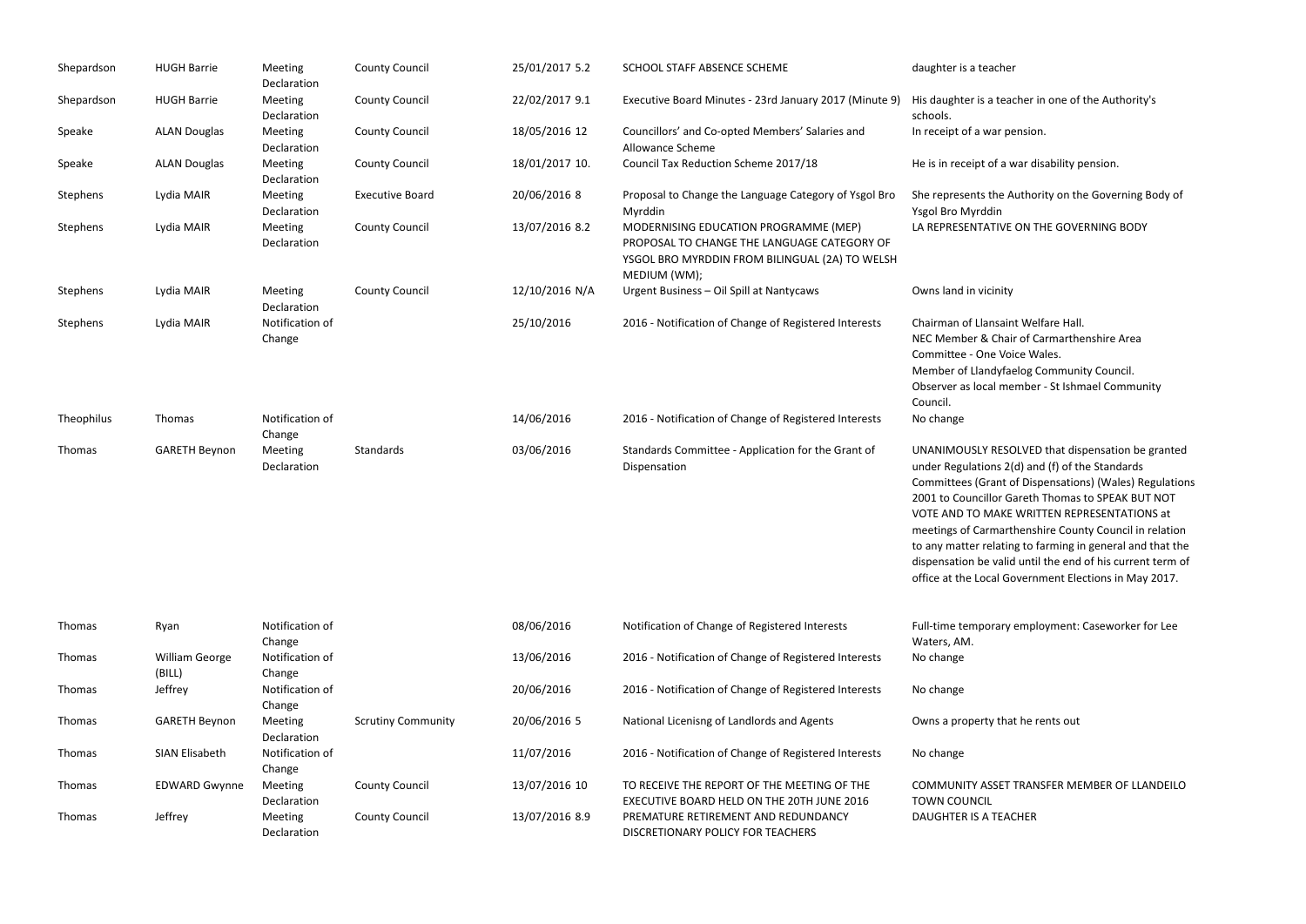| Shepardson | <b>HUGH Barrie</b>              | Meeting<br>Declaration        | <b>County Council</b>     | 25/01/2017 5.2 | SCHOOL STAFF ABSENCE SCHEME                                                                                                                            | daughter is a teacher                                                                                                                                                                                                           |
|------------|---------------------------------|-------------------------------|---------------------------|----------------|--------------------------------------------------------------------------------------------------------------------------------------------------------|---------------------------------------------------------------------------------------------------------------------------------------------------------------------------------------------------------------------------------|
| Shepardson | <b>HUGH Barrie</b>              | Meeting<br>Declaration        | <b>County Council</b>     | 22/02/2017 9.1 | Executive Board Minutes - 23rd January 2017 (Minute 9)                                                                                                 | His daughter is a tead<br>schools.                                                                                                                                                                                              |
| Speake     | <b>ALAN Douglas</b>             | Meeting<br>Declaration        | <b>County Council</b>     | 18/05/2016 12  | Councillors' and Co-opted Members' Salaries and<br>Allowance Scheme                                                                                    | In receipt of a war pe                                                                                                                                                                                                          |
| Speake     | <b>ALAN Douglas</b>             | Meeting<br>Declaration        | <b>County Council</b>     | 18/01/2017 10. | Council Tax Reduction Scheme 2017/18                                                                                                                   | He is in receipt of a w                                                                                                                                                                                                         |
| Stephens   | Lydia MAIR                      | Meeting<br>Declaration        | <b>Executive Board</b>    | 20/06/2016 8   | Proposal to Change the Language Category of Ysgol Bro<br>Myrddin                                                                                       | She represents the A<br>Ysgol Bro Myrddin                                                                                                                                                                                       |
| Stephens   | Lydia MAIR                      | Meeting<br>Declaration        | <b>County Council</b>     | 13/07/2016 8.2 | MODERNISING EDUCATION PROGRAMME (MEP)<br>PROPOSAL TO CHANGE THE LANGUAGE CATEGORY OF<br>YSGOL BRO MYRDDIN FROM BILINGUAL (2A) TO WELSH<br>MEDIUM (WM); | LA REPRESENTATIVE                                                                                                                                                                                                               |
| Stephens   | Lydia MAIR                      | <b>Meeting</b><br>Declaration | <b>County Council</b>     | 12/10/2016 N/A | Urgent Business - Oil Spill at Nantycaws                                                                                                               | Owns land in vicinity                                                                                                                                                                                                           |
| Stephens   | Lydia MAIR                      | Notification of<br>Change     |                           | 25/10/2016     | 2016 - Notification of Change of Registered Interests                                                                                                  | Chairman of Llansain<br>NEC Member & Chair<br>Committee - One Voi<br>Member of Llandyfae<br>Observer as local me<br>Council.                                                                                                    |
| Theophilus | Thomas                          | Notification of<br>Change     |                           | 14/06/2016     | 2016 - Notification of Change of Registered Interests                                                                                                  | No change                                                                                                                                                                                                                       |
| Thomas     | <b>GARETH Beynon</b>            | Meeting<br>Declaration        | Standards                 | 03/06/2016     | Standards Committee - Application for the Grant of<br>Dispensation                                                                                     | <b>UNANIMOUSLY RESC</b><br>under Regulations 2(<br>Committees (Grant o<br>2001 to Councillor Ga<br><b>VOTE AND TO MAKE</b><br>meetings of Carmartl<br>to any matter relating<br>dispensation be valid<br>office at the Local Go |
| Thomas     | Ryan                            | Notification of<br>Change     |                           | 08/06/2016     | Notification of Change of Registered Interests                                                                                                         | Full-time temporary<br>Waters, AM.                                                                                                                                                                                              |
| Thomas     | <b>William George</b><br>(BILL) | Notification of<br>Change     |                           | 13/06/2016     | 2016 - Notification of Change of Registered Interests                                                                                                  | No change                                                                                                                                                                                                                       |
| Thomas     | Jeffrey                         | Notification of<br>Change     |                           | 20/06/2016     | 2016 - Notification of Change of Registered Interests                                                                                                  | No change                                                                                                                                                                                                                       |
| Thomas     | <b>GARETH Beynon</b>            | Meeting<br>Declaration        | <b>Scrutiny Community</b> | 20/06/2016 5   | National Licenisng of Landlords and Agents                                                                                                             | Owns a property that                                                                                                                                                                                                            |
| Thomas     | SIAN Elisabeth                  | Notification of<br>Change     |                           | 11/07/2016     | 2016 - Notification of Change of Registered Interests                                                                                                  | No change                                                                                                                                                                                                                       |
| Thomas     | <b>EDWARD Gwynne</b>            | Meeting<br>Declaration        | <b>County Council</b>     | 13/07/2016 10  | TO RECEIVE THE REPORT OF THE MEETING OF THE<br>EXECUTIVE BOARD HELD ON THE 20TH JUNE 2016                                                              | <b>COMMUNITY ASSET</b><br><b>TOWN COUNCIL</b>                                                                                                                                                                                   |
| Thomas     | Jeffrey                         | Meeting<br>Declaration        | <b>County Council</b>     | 13/07/2016 8.9 | PREMATURE RETIREMENT AND REDUNDANCY<br>DISCRETIONARY POLICY FOR TEACHERS                                                                               | <b>DAUGHTER IS A TEAC</b>                                                                                                                                                                                                       |

s a teacher in one of the Authority's

war pension.

of a war disability pension.

the Authority on the Governing Body of din ATIVE ON THE GOVERNING BODY

ansaint Welfare Hall. l Chair of Carmarthenshire Area ne Voice Wales. ndyfaelog Community Council. cal member - St Ishmael Community

RESOLVED that dispensation be granted ons 2(d) and (f) of the Standards rant of Dispensations) (Wales) Regulations Ilor Gareth Thomas to SPEAK BUT NOT MAKE WRITTEN REPRESENTATIONS at rmarthenshire County Council in relation relating to farming in general and that the e valid until the end of his current term of cal Government Elections in May 2017.

orary employment: Caseworker for Lee

ty that he rents out

**ASSET TRANSFER MEMBER OF LLANDEILO N TEACHER**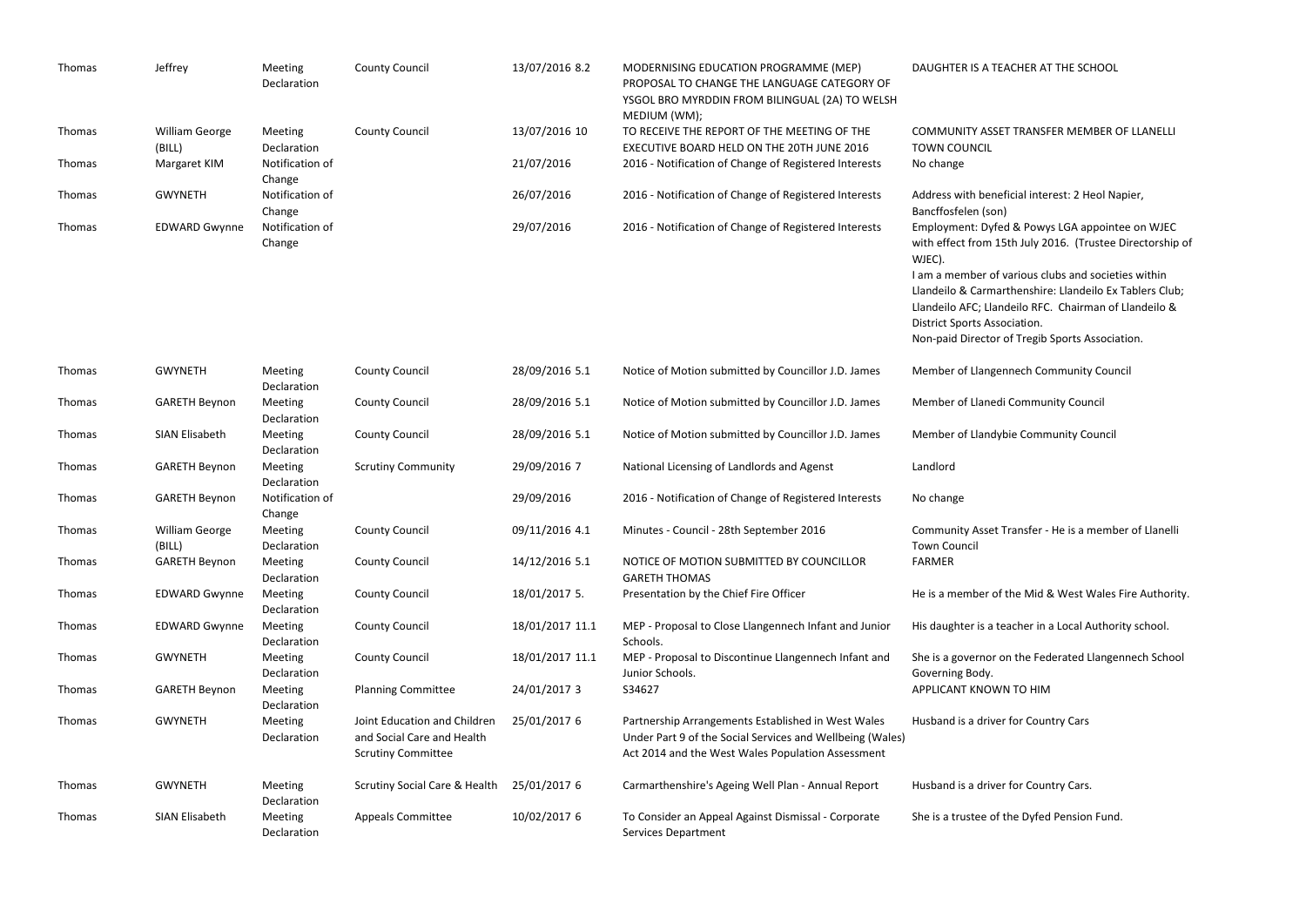| Thomas        | Jeffrey                         | Meeting<br>Declaration        | <b>County Council</b>                                                                   | 13/07/2016 8.2  | MODERNISING EDUCATION PROGRAMME (MEP)<br>PROPOSAL TO CHANGE THE LANGUAGE CATEGORY OF<br>YSGOL BRO MYRDDIN FROM BILINGUAL (2A) TO WELSH<br>MEDIUM (WM);               | DAUGHTER IS A TEACHER AT                                                                                                                                                                                                         |
|---------------|---------------------------------|-------------------------------|-----------------------------------------------------------------------------------------|-----------------|----------------------------------------------------------------------------------------------------------------------------------------------------------------------|----------------------------------------------------------------------------------------------------------------------------------------------------------------------------------------------------------------------------------|
| Thomas        | <b>William George</b><br>(BILL) | Meeting<br>Declaration        | <b>County Council</b>                                                                   | 13/07/2016 10   | TO RECEIVE THE REPORT OF THE MEETING OF THE<br>EXECUTIVE BOARD HELD ON THE 20TH JUNE 2016                                                                            | <b>COMMUNITY ASSET TRANSE</b><br><b>TOWN COUNCIL</b>                                                                                                                                                                             |
| Thomas        | Margaret KIM                    | Notification of<br>Change     |                                                                                         | 21/07/2016      | 2016 - Notification of Change of Registered Interests                                                                                                                | No change                                                                                                                                                                                                                        |
| Thomas        | <b>GWYNETH</b>                  | Notification of<br>Change     |                                                                                         | 26/07/2016      | 2016 - Notification of Change of Registered Interests                                                                                                                | Address with beneficial inte<br>Bancffosfelen (son)                                                                                                                                                                              |
| Thomas        | <b>EDWARD Gwynne</b>            | Notification of<br>Change     |                                                                                         | 29/07/2016      | 2016 - Notification of Change of Registered Interests                                                                                                                | Employment: Dyfed & Powy<br>with effect from 15th July 20<br>WJEC).<br>I am a member of various cl<br>Llandeilo & Carmarthenshire<br>Llandeilo AFC; Llandeilo RFC<br>District Sports Association.<br>Non-paid Director of Tregib |
| Thomas        | <b>GWYNETH</b>                  | <b>Meeting</b><br>Declaration | <b>County Council</b>                                                                   | 28/09/2016 5.1  | Notice of Motion submitted by Councillor J.D. James                                                                                                                  | Member of Llangennech Co                                                                                                                                                                                                         |
| Thomas        | <b>GARETH Beynon</b>            | Meeting<br>Declaration        | <b>County Council</b>                                                                   | 28/09/2016 5.1  | Notice of Motion submitted by Councillor J.D. James                                                                                                                  | Member of Llanedi Commur                                                                                                                                                                                                         |
| Thomas        | SIAN Elisabeth                  | Meeting<br>Declaration        | <b>County Council</b>                                                                   | 28/09/2016 5.1  | Notice of Motion submitted by Councillor J.D. James                                                                                                                  | Member of Llandybie Comm                                                                                                                                                                                                         |
| Thomas        | <b>GARETH Beynon</b>            | Meeting<br>Declaration        | <b>Scrutiny Community</b>                                                               | 29/09/2016 7    | National Licensing of Landlords and Agenst                                                                                                                           | Landlord                                                                                                                                                                                                                         |
| <b>Thomas</b> | <b>GARETH Beynon</b>            | Notification of<br>Change     |                                                                                         | 29/09/2016      | 2016 - Notification of Change of Registered Interests                                                                                                                | No change                                                                                                                                                                                                                        |
| Thomas        | <b>William George</b><br>(BILL) | <b>Meeting</b><br>Declaration | <b>County Council</b>                                                                   | 09/11/2016 4.1  | Minutes - Council - 28th September 2016                                                                                                                              | Community Asset Transfer -<br><b>Town Council</b>                                                                                                                                                                                |
| Thomas        | <b>GARETH Beynon</b>            | <b>Meeting</b><br>Declaration | <b>County Council</b>                                                                   | 14/12/2016 5.1  | NOTICE OF MOTION SUBMITTED BY COUNCILLOR<br><b>GARETH THOMAS</b>                                                                                                     | <b>FARMER</b>                                                                                                                                                                                                                    |
| Thomas        | <b>EDWARD Gwynne</b>            | Meeting<br>Declaration        | <b>County Council</b>                                                                   | 18/01/2017 5.   | Presentation by the Chief Fire Officer                                                                                                                               | He is a member of the Mid &                                                                                                                                                                                                      |
| Thomas        | <b>EDWARD Gwynne</b>            | Meeting<br>Declaration        | <b>County Council</b>                                                                   | 18/01/2017 11.1 | MEP - Proposal to Close Llangennech Infant and Junior<br>Schools.                                                                                                    | His daughter is a teacher in                                                                                                                                                                                                     |
| Thomas        | <b>GWYNETH</b>                  | <b>Meeting</b><br>Declaration | <b>County Council</b>                                                                   | 18/01/2017 11.1 | MEP - Proposal to Discontinue Llangennech Infant and<br>Junior Schools.                                                                                              | She is a governor on the Fed<br>Governing Body.                                                                                                                                                                                  |
| Thomas        | <b>GARETH Beynon</b>            | Meeting<br>Declaration        | <b>Planning Committee</b>                                                               | 24/01/2017 3    | S34627                                                                                                                                                               | APPLICANT KNOWN TO HIM                                                                                                                                                                                                           |
| Thomas        | <b>GWYNETH</b>                  | Meeting<br>Declaration        | Joint Education and Children<br>and Social Care and Health<br><b>Scrutiny Committee</b> | 25/01/2017 6    | Partnership Arrangements Established in West Wales<br>Under Part 9 of the Social Services and Wellbeing (Wales)<br>Act 2014 and the West Wales Population Assessment | Husband is a driver for Cour                                                                                                                                                                                                     |
| Thomas        | <b>GWYNETH</b>                  | Meeting<br>Declaration        | Scrutiny Social Care & Health                                                           | 25/01/2017 6    | Carmarthenshire's Ageing Well Plan - Annual Report                                                                                                                   | Husband is a driver for Cour                                                                                                                                                                                                     |
| Thomas        | SIAN Elisabeth                  | Meeting<br>Declaration        | <b>Appeals Committee</b>                                                                | 10/02/2017 6    | To Consider an Appeal Against Dismissal - Corporate<br><b>Services Department</b>                                                                                    | She is a trustee of the Dyfed                                                                                                                                                                                                    |

# TEACHER AT THE SCHOOL

SSET TRANSFER MEMBER OF LLANELLI

eneficial interest: 2 Heol Napier, son)

29 29 Dyfed & Powys LGA appointee on WJEC m 15th July 2016. (Trustee Directorship of

of various clubs and societies within marthenshire: Llandeilo Ex Tablers Club; Llandeilo RFC. Chairman of Llandeilo & Association.

tor of Tregib Sports Association.

ngennech Community Council

nedi Community Council

ndybie Community Council

set Transfer - He is a member of Llanelli

r of the Mid & West Wales Fire Authority.

a teacher in a Local Authority school.

or on the Federated Llangennech School

river for Country Cars

river for Country Cars.

of the Dyfed Pension Fund.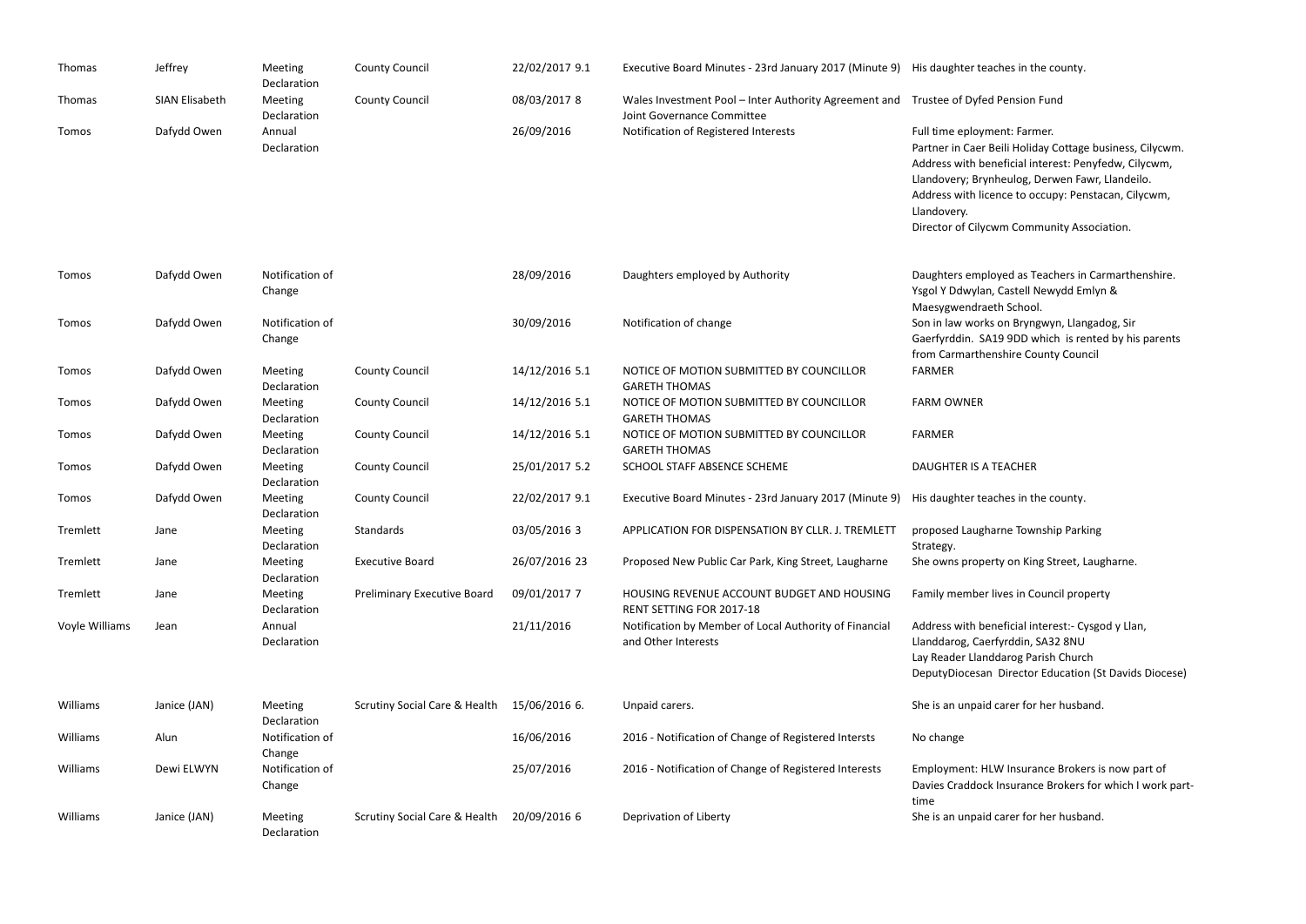| Thomas         | Jeffrey               | Meeting<br>Declaration    | <b>County Council</b>                    | 22/02/2017 9.1 | Executive Board Minutes - 23rd January 2017 (Minute 9) His daughter teaches in the                           |                                                                                                                                                                                            |
|----------------|-----------------------|---------------------------|------------------------------------------|----------------|--------------------------------------------------------------------------------------------------------------|--------------------------------------------------------------------------------------------------------------------------------------------------------------------------------------------|
| Thomas         | <b>SIAN Elisabeth</b> | Meeting<br>Declaration    | <b>County Council</b>                    | 08/03/2017 8   | Wales Investment Pool - Inter Authority Agreement and Trustee of Dyfed Pension<br>Joint Governance Committee |                                                                                                                                                                                            |
| Tomos          | Dafydd Owen           | Annual<br>Declaration     |                                          | 26/09/2016     | Notification of Registered Interests                                                                         | Full time eployment: Farr<br>Partner in Caer Beili Holic<br>Address with beneficial in<br>Llandovery; Brynheulog, I<br>Address with licence to o<br>Llandovery.<br>Director of Cilycwm Com |
| Tomos          | Dafydd Owen           | Notification of<br>Change |                                          | 28/09/2016     | Daughters employed by Authority                                                                              | Daughters employed as T<br>Ysgol Y Ddwylan, Castell I<br>Maesygwendraeth Schoo                                                                                                             |
| Tomos          | Dafydd Owen           | Notification of<br>Change |                                          | 30/09/2016     | Notification of change                                                                                       | Son in law works on Bryn<br>Gaerfyrddin. SA19 9DD v<br>from Carmarthenshire Co                                                                                                             |
| Tomos          | Dafydd Owen           | Meeting<br>Declaration    | <b>County Council</b>                    | 14/12/2016 5.1 | NOTICE OF MOTION SUBMITTED BY COUNCILLOR<br><b>GARETH THOMAS</b>                                             | <b>FARMER</b>                                                                                                                                                                              |
| Tomos          | Dafydd Owen           | Meeting<br>Declaration    | <b>County Council</b>                    | 14/12/2016 5.1 | NOTICE OF MOTION SUBMITTED BY COUNCILLOR<br><b>GARETH THOMAS</b>                                             | <b>FARM OWNER</b>                                                                                                                                                                          |
| Tomos          | Dafydd Owen           | Meeting<br>Declaration    | <b>County Council</b>                    | 14/12/2016 5.1 | NOTICE OF MOTION SUBMITTED BY COUNCILLOR<br><b>GARETH THOMAS</b>                                             | <b>FARMER</b>                                                                                                                                                                              |
| Tomos          | Dafydd Owen           | Meeting<br>Declaration    | <b>County Council</b>                    | 25/01/2017 5.2 | SCHOOL STAFF ABSENCE SCHEME                                                                                  | <b>DAUGHTER IS A TEACHER</b>                                                                                                                                                               |
| Tomos          | Dafydd Owen           | Meeting<br>Declaration    | <b>County Council</b>                    | 22/02/2017 9.1 | Executive Board Minutes - 23rd January 2017 (Minute 9)                                                       | His daughter teaches in tl                                                                                                                                                                 |
| Tremlett       | Jane                  | Meeting<br>Declaration    | Standards                                | 03/05/2016 3   | APPLICATION FOR DISPENSATION BY CLLR. J. TREMLETT                                                            | proposed Laugharne Tow<br>Strategy.                                                                                                                                                        |
| Tremlett       | Jane                  | Meeting<br>Declaration    | <b>Executive Board</b>                   | 26/07/2016 23  | Proposed New Public Car Park, King Street, Laugharne                                                         | She owns property on Kin                                                                                                                                                                   |
| Tremlett       | Jane                  | Meeting<br>Declaration    | <b>Preliminary Executive Board</b>       | 09/01/2017 7   | HOUSING REVENUE ACCOUNT BUDGET AND HOUSING<br>RENT SETTING FOR 2017-18                                       | Family member lives in C                                                                                                                                                                   |
| Voyle Williams | Jean                  | Annual<br>Declaration     |                                          | 21/11/2016     | Notification by Member of Local Authority of Financial<br>and Other Interests                                | Address with beneficial in<br>Llanddarog, Caerfyrddin,<br>Lay Reader Llanddarog Pa<br>DeputyDiocesan Director                                                                              |
| Williams       | Janice (JAN)          | Meeting<br>Declaration    | <b>Scrutiny Social Care &amp; Health</b> | 15/06/2016 6.  | Unpaid carers.                                                                                               | She is an unpaid carer for                                                                                                                                                                 |
| Williams       | Alun                  | Notification of<br>Change |                                          | 16/06/2016     | 2016 - Notification of Change of Registered Intersts                                                         | No change                                                                                                                                                                                  |
| Williams       | Dewi ELWYN            | Notification of<br>Change |                                          | 25/07/2016     | 2016 - Notification of Change of Registered Interests                                                        | Employment: HLW Insura<br>Davies Craddock Insurand<br>time                                                                                                                                 |
| Williams       | Janice (JAN)          | Meeting<br>Declaration    | <b>Scrutiny Social Care &amp; Health</b> | 20/09/2016 6   | Deprivation of Liberty                                                                                       | She is an unpaid carer for                                                                                                                                                                 |

eaches in the county.

ed Pension Fund

ment: Farmer. Beili Holiday Cottage business, Cilycwm. beneficial interest: Penyfedw, Cilycwm, ynheulog, Derwen Fawr, Llandeilo. icence to occupy: Penstacan, Cilycwm,

ycwm Community Association.

ployed as Teachers in Carmarthenshire. an, Castell Newydd Emlyn & aeth School. ks on Bryngwyn, Llangadog, Sir GA19 9DD which is rented by his parents

enshire County Council

eaches in the county.

sharne Township Parking

berty on King Street, Laugharne.

r lives in Council property

oeneficial interest:- Cysgod y Llan, aerfyrddin, SA32 8NU nddarog Parish Church an Director Education (St Davids Diocese)

id carer for her husband.

HLW Insurance Brokers is now part of ck Insurance Brokers for which I work part-

id carer for her husband.